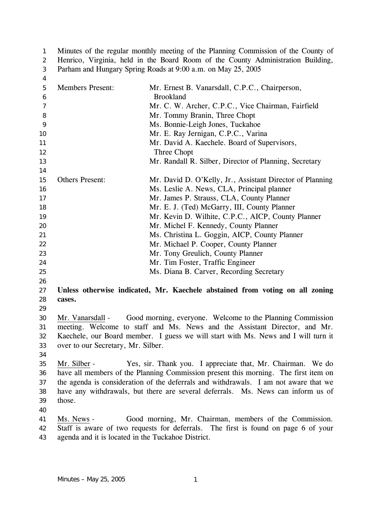Minutes of the regular monthly meeting of the Planning Commission of the County of Henrico, Virginia, held in the Board Room of the County Administration Building, Parham and Hungary Spring Roads at 9:00 a.m. on May 25, 2005 1 2 3

| 4              |                                                    |                                                                                      |
|----------------|----------------------------------------------------|--------------------------------------------------------------------------------------|
| 5              | <b>Members Present:</b>                            | Mr. Ernest B. Vanarsdall, C.P.C., Chairperson,                                       |
| 6              |                                                    | <b>Brookland</b>                                                                     |
| $\overline{7}$ |                                                    | Mr. C. W. Archer, C.P.C., Vice Chairman, Fairfield                                   |
| 8              |                                                    | Mr. Tommy Branin, Three Chopt                                                        |
| 9              |                                                    | Ms. Bonnie-Leigh Jones, Tuckahoe                                                     |
| 10             |                                                    | Mr. E. Ray Jernigan, C.P.C., Varina                                                  |
| 11             |                                                    | Mr. David A. Kaechele. Board of Supervisors,                                         |
| 12             |                                                    | Three Chopt                                                                          |
| 13             |                                                    | Mr. Randall R. Silber, Director of Planning, Secretary                               |
| 14             |                                                    |                                                                                      |
| 15             | <b>Others Present:</b>                             | Mr. David D. O'Kelly, Jr., Assistant Director of Planning                            |
| 16             |                                                    | Ms. Leslie A. News, CLA, Principal planner                                           |
| 17             |                                                    | Mr. James P. Strauss, CLA, County Planner                                            |
| 18             |                                                    | Mr. E. J. (Ted) McGarry, III, County Planner                                         |
| 19             |                                                    | Mr. Kevin D. Wilhite, C.P.C., AICP, County Planner                                   |
| 20             |                                                    | Mr. Michel F. Kennedy, County Planner                                                |
| 21             |                                                    | Ms. Christina L. Goggin, AICP, County Planner                                        |
| 22             |                                                    | Mr. Michael P. Cooper, County Planner                                                |
| 23             |                                                    | Mr. Tony Greulich, County Planner                                                    |
| 24             |                                                    | Mr. Tim Foster, Traffic Engineer                                                     |
| 25             |                                                    | Ms. Diana B. Carver, Recording Secretary                                             |
| 26             |                                                    |                                                                                      |
| 27             |                                                    | Unless otherwise indicated, Mr. Kaechele abstained from voting on all zoning         |
| 28             | cases.                                             |                                                                                      |
| 29             |                                                    |                                                                                      |
| 30             | Mr. Vanarsdall -                                   | Good morning, everyone. Welcome to the Planning Commission                           |
| 31             |                                                    | meeting. Welcome to staff and Ms. News and the Assistant Director, and Mr.           |
| 32             |                                                    | Kaechele, our Board member. I guess we will start with Ms. News and I will turn it   |
| 33             | over to our Secretary, Mr. Silber.                 |                                                                                      |
| 34             |                                                    |                                                                                      |
| 35             | Mr. Silber -                                       | Yes, sir. Thank you. I appreciate that, Mr. Chairman. We do                          |
| 36             |                                                    | have all members of the Planning Commission present this morning. The first item on  |
| 37             |                                                    | the agenda is consideration of the deferrals and withdrawals. I am not aware that we |
| 38             |                                                    | have any withdrawals, but there are several deferrals. Ms. News can inform us of     |
| 39             | those.                                             |                                                                                      |
| 40             |                                                    |                                                                                      |
| 41             | Ms. News -                                         | Good morning, Mr. Chairman, members of the Commission.                               |
| 42             |                                                    | Staff is aware of two requests for deferrals. The first is found on page 6 of your   |
| 43             | agenda and it is located in the Tuckahoe District. |                                                                                      |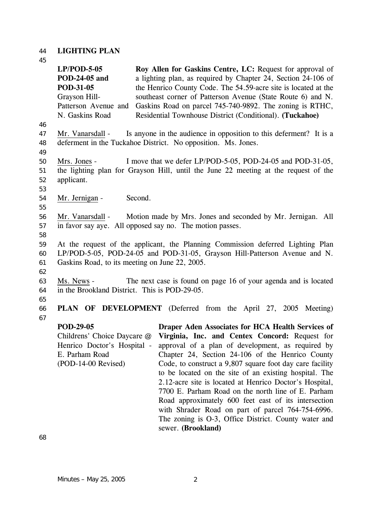# 44 **LIGHTING PLAN**

| 45                         |                                                                                                                                                                                                                 |                                                                                                                                                                                                                                                                                                                                                                                                                                                                                                                                                                                                                                                |  |  |
|----------------------------|-----------------------------------------------------------------------------------------------------------------------------------------------------------------------------------------------------------------|------------------------------------------------------------------------------------------------------------------------------------------------------------------------------------------------------------------------------------------------------------------------------------------------------------------------------------------------------------------------------------------------------------------------------------------------------------------------------------------------------------------------------------------------------------------------------------------------------------------------------------------------|--|--|
|                            | $LP/POD-5-05$<br>POD-24-05 and<br>POD-31-05<br>Grayson Hill-<br>Patterson Avenue and<br>N. Gaskins Road                                                                                                         | Roy Allen for Gaskins Centre, LC: Request for approval of<br>a lighting plan, as required by Chapter 24, Section 24-106 of<br>the Henrico County Code. The 54.59-acre site is located at the<br>southeast corner of Patterson Avenue (State Route 6) and N.<br>Gaskins Road on parcel 745-740-9892. The zoning is RTHC,<br>Residential Townhouse District (Conditional). (Tuckahoe)                                                                                                                                                                                                                                                            |  |  |
| 46<br>47<br>48             | Mr. Vanarsdall -                                                                                                                                                                                                | Is anyone in the audience in opposition to this deferment? It is a<br>deferment in the Tuckahoe District. No opposition. Ms. Jones.                                                                                                                                                                                                                                                                                                                                                                                                                                                                                                            |  |  |
| 49<br>50<br>51<br>52<br>53 | Mrs. Jones -<br>applicant.                                                                                                                                                                                      | I move that we defer LP/POD-5-05, POD-24-05 and POD-31-05,<br>the lighting plan for Grayson Hill, until the June 22 meeting at the request of the                                                                                                                                                                                                                                                                                                                                                                                                                                                                                              |  |  |
| 54                         | Mr. Jernigan -                                                                                                                                                                                                  | Second.                                                                                                                                                                                                                                                                                                                                                                                                                                                                                                                                                                                                                                        |  |  |
| 55<br>56<br>57<br>58       | Motion made by Mrs. Jones and seconded by Mr. Jernigan. All<br>Mr. Vanarsdall -<br>in favor say aye. All opposed say no. The motion passes.                                                                     |                                                                                                                                                                                                                                                                                                                                                                                                                                                                                                                                                                                                                                                |  |  |
| 59<br>60<br>61<br>62       | At the request of the applicant, the Planning Commission deferred Lighting Plan<br>LP/POD-5-05, POD-24-05 and POD-31-05, Grayson Hill-Patterson Avenue and N.<br>Gaskins Road, to its meeting on June 22, 2005. |                                                                                                                                                                                                                                                                                                                                                                                                                                                                                                                                                                                                                                                |  |  |
| 63<br>64                   | Ms. News -<br>The next case is found on page 16 of your agenda and is located<br>in the Brookland District. This is POD-29-05.                                                                                  |                                                                                                                                                                                                                                                                                                                                                                                                                                                                                                                                                                                                                                                |  |  |
| 65<br>66<br>67             |                                                                                                                                                                                                                 | <b>PLAN OF DEVELOPMENT</b> (Deferred from the April 27, 2005 Meeting)                                                                                                                                                                                                                                                                                                                                                                                                                                                                                                                                                                          |  |  |
|                            | <b>POD-29-05</b><br>Childrens' Choice Daycare @<br>Henrico Doctor's Hospital -<br>E. Parham Road<br>(POD-14-00 Revised)                                                                                         | Draper Aden Associates for HCA Health Services of<br>Virginia, Inc. and Centex Concord: Request for<br>approval of a plan of development, as required by<br>Chapter 24, Section 24-106 of the Henrico County<br>Code, to construct a 9,807 square foot day care facility<br>to be located on the site of an existing hospital. The<br>2.12-acre site is located at Henrico Doctor's Hospital,<br>7700 E. Parham Road on the north line of E. Parham<br>Road approximately 600 feet east of its intersection<br>with Shrader Road on part of parcel 764-754-6996.<br>The zoning is O-3, Office District. County water and<br>sewer. (Brookland) |  |  |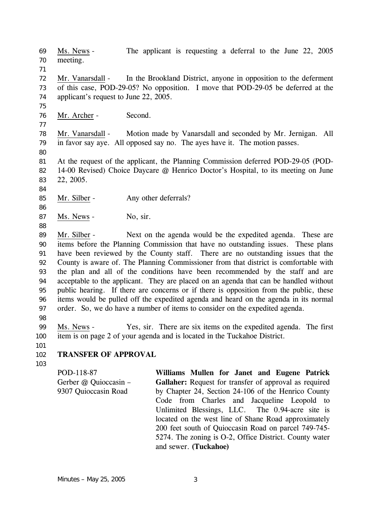Ms. News - The applicant is requesting a deferral to the June 22, 2005 meeting. 69 70 71 Mr. Vanarsdall - In the Brookland District, anyone in opposition to the deferment of this case, POD-29-05? No opposition. I move that POD-29-05 be deferred at the applicant's request to June 22, 2005. 72 73 74 75 76 Mr. Archer - Second. 77 Mr. Vanarsdall - Motion made by Vanarsdall and seconded by Mr. Jernigan. All in favor say aye. All opposed say no. The ayes have it. The motion passes. 78 79 80 81 82 83 84 At the request of the applicant, the Planning Commission deferred POD-29-05 (POD-14-00 Revised) Choice Daycare @ Henrico Doctor's Hospital, to its meeting on June 22, 2005. 85 Mr. Silber - Any other deferrals? 86 87 Ms. News - No, sir. 88 Mr. Silber - Next on the agenda would be the expedited agenda. These are items before the Planning Commission that have no outstanding issues. These plans have been reviewed by the County staff. There are no outstanding issues that the County is aware of. The Planning Commissioner from that district is comfortable with the plan and all of the conditions have been recommended by the staff and are acceptable to the applicant. They are placed on an agenda that can be handled without public hearing. If there are concerns or if there is opposition from the public, these items would be pulled off the expedited agenda and heard on the agenda in its normal order. So, we do have a number of items to consider on the expedited agenda. 89 90 91 92 93 94 95 96 97 98 Ms. News - Yes, sir. There are six items on the expedited agenda. The first item is on page 2 of your agenda and is located in the Tuckahoe District. 99 100 101 102 **TRANSFER OF APPROVAL**  POD-118-87 **Williams Mullen for Janet and Eugene Patrick** 

103

Gerber @ Quioccasin – 9307 Quioccasin Road **Gallaher:** Request for transfer of approval as required by Chapter 24, Section 24-106 of the Henrico County Code from Charles and Jacqueline Leopold to Unlimited Blessings, LLC. The 0.94-acre site is located on the west line of Shane Road approximately 200 feet south of Quioccasin Road on parcel 749-745- 5274. The zoning is O-2, Office District. County water and sewer. **(Tuckahoe)**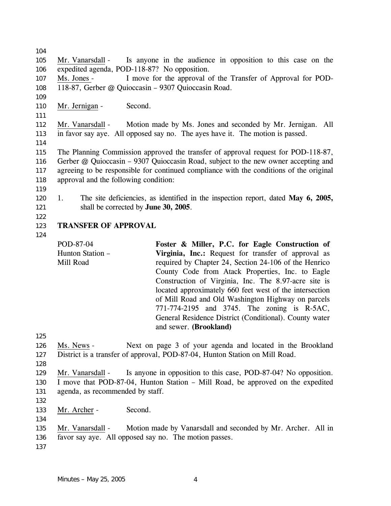104 Mr. Vanarsdall - Is anyone in the audience in opposition to this case on the expedited agenda, POD-118-87? No opposition. 105 106 Ms. Jones - I move for the approval of the Transfer of Approval for POD-118-87, Gerber @ Quioccasin – 9307 Quioccasin Road. 107 108 109 110 Mr. Jernigan - Second. 111 Mr. Vanarsdall - Motion made by Ms. Jones and seconded by Mr. Jernigan. All in favor say aye. All opposed say no. The ayes have it. The motion is passed. 112 113 114 115 116 117 118 119 120 121 122 The Planning Commission approved the transfer of approval request for POD-118-87, Gerber @ Quioccasin – 9307 Quioccasin Road, subject to the new owner accepting and agreeing to be responsible for continued compliance with the conditions of the original approval and the following condition: 1. The site deficiencies, as identified in the inspection report, dated **May 6, 2005,** shall be corrected by **June 30, 2005**. **TRANSFER OF APPROVAL**  POD-87-04 Hunton Station – Mill Road **Foster & Miller, P.C. for Eagle Construction of Virginia, Inc.:** Request for transfer of approval as required by Chapter 24, Section 24-106 of the Henrico County Code from Atack Properties, Inc. to Eagle Construction of Virginia, Inc. The 8.97-acre site is located approximately 660 feet west of the intersection

- 
- 123
- 124

125 of Mill Road and Old Washington Highway on parcels 771-774-2195 and 3745. The zoning is R-5AC, General Residence District (Conditional). County water and sewer. **(Brookland)**  Ms. News - Next on page 3 of your agenda and located in the Brookland

- District is a transfer of approval, POD-87-04, Hunton Station on Mill Road. 126 127
- 128

Mr. Vanarsdall - Is anyone in opposition to this case, POD-87-04? No opposition. I move that POD-87-04, Hunton Station – Mill Road, be approved on the expedited agenda, as recommended by staff. 129 130 131

132

- 133 Mr. Archer Second.
- Mr. Vanarsdall Motion made by Vanarsdall and seconded by Mr. Archer. All in favor say aye. All opposed say no. The motion passes. 135 136
- 137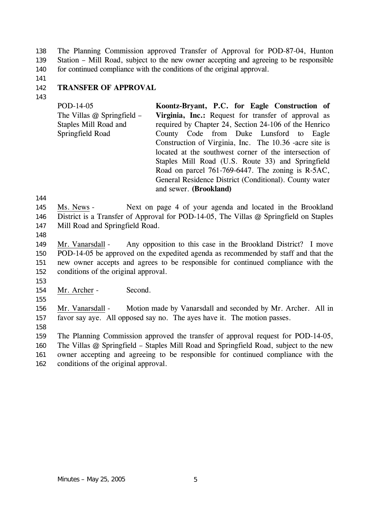The Planning Commission approved Transfer of Approval for POD-87-04, Hunton Station – Mill Road, subject to the new owner accepting and agreeing to be responsible for continued compliance with the conditions of the original approval. 138 139 140

141 142

## **TRANSFER OF APPROVAL**

143

POD-14-05 The Villas @ Springfield – Staples Mill Road and Springfield Road **Koontz-Bryant, P.C. for Eagle Construction of Virginia, Inc.:** Request for transfer of approval as required by Chapter 24, Section 24-106 of the Henrico County Code from Duke Lunsford to Eagle Construction of Virginia, Inc. The 10.36 -acre site is located at the southwest corner of the intersection of Staples Mill Road (U.S. Route 33) and Springfield Road on parcel 761-769-6447. The zoning is R-5AC, General Residence District (Conditional). County water and sewer. **(Brookland)** 

144

Ms. News - Next on page 4 of your agenda and located in the Brookland District is a Transfer of Approval for POD-14-05, The Villas @ Springfield on Staples Mill Road and Springfield Road. 145 146 147

148

Mr. Vanarsdall - Any opposition to this case in the Brookland District? I move POD-14-05 be approved on the expedited agenda as recommended by staff and that the new owner accepts and agrees to be responsible for continued compliance with the conditions of the original approval. 149 150 151 152

153

155

154 Mr. Archer - Second.

Mr. Vanarsdall - Motion made by Vanarsdall and seconded by Mr. Archer. All in favor say aye. All opposed say no. The ayes have it. The motion passes. 156 157

158

159 160 161 The Planning Commission approved the transfer of approval request for POD-14-05, The Villas @ Springfield – Staples Mill Road and Springfield Road, subject to the new owner accepting and agreeing to be responsible for continued compliance with the

162 conditions of the original approval.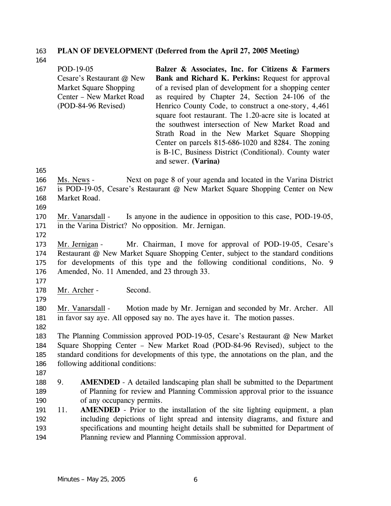# 163 **PLAN OF DEVELOPMENT (Deferred from the April 27, 2005 Meeting)**

164

165

170 171 172

179

|                                 |     | POD-19-05<br>Cesare's Restaurant @ New<br><b>Market Square Shopping</b><br>Center - New Market Road<br>(POD-84-96 Revised) | Balzer & Associates, Inc. for Citizens & Farmers<br>Bank and Richard K. Perkins: Request for approval<br>of a revised plan of development for a shopping center<br>as required by Chapter 24, Section 24-106 of the<br>Henrico County Code, to construct a one-story, 4,461<br>square foot restaurant. The 1.20-acre site is located at<br>the southwest intersection of New Market Road and |
|---------------------------------|-----|----------------------------------------------------------------------------------------------------------------------------|----------------------------------------------------------------------------------------------------------------------------------------------------------------------------------------------------------------------------------------------------------------------------------------------------------------------------------------------------------------------------------------------|
|                                 |     |                                                                                                                            | Strath Road in the New Market Square Shopping<br>Center on parcels 815-686-1020 and 8284. The zoning<br>is B-1C, Business District (Conditional). County water<br>and sewer. (Varina)                                                                                                                                                                                                        |
| 165<br>166<br>167<br>168<br>169 |     | Ms. News -<br>Market Road.                                                                                                 | Next on page 8 of your agenda and located in the Varina District<br>is POD-19-05, Cesare's Restaurant @ New Market Square Shopping Center on New                                                                                                                                                                                                                                             |
| 170<br>171<br>172               |     | Mr. Vanarsdall -<br>in the Varina District? No opposition. Mr. Jernigan.                                                   | Is anyone in the audience in opposition to this case, POD-19-05,                                                                                                                                                                                                                                                                                                                             |
| 173<br>174<br>175<br>176        |     | Mr. Jernigan -<br>Amended, No. 11 Amended, and 23 through 33.                                                              | Mr. Chairman, I move for approval of POD-19-05, Cesare's<br>Restaurant @ New Market Square Shopping Center, subject to the standard conditions<br>for developments of this type and the following conditional conditions, No. 9                                                                                                                                                              |
| 177<br>178                      |     | Second.<br>Mr. Archer -                                                                                                    |                                                                                                                                                                                                                                                                                                                                                                                              |
| 179<br>180<br>181<br>182        |     | Mr. Vanarsdall -                                                                                                           | Motion made by Mr. Jernigan and seconded by Mr. Archer. All<br>in favor say aye. All opposed say no. The ayes have it. The motion passes.                                                                                                                                                                                                                                                    |
| 183<br>184<br>185<br>186<br>187 |     | following additional conditions:                                                                                           | The Planning Commission approved POD-19-05, Cesare's Restaurant @ New Market<br>Square Shopping Center - New Market Road (POD-84-96 Revised), subject to the<br>standard conditions for developments of this type, the annotations on the plan, and the                                                                                                                                      |
| 188<br>189<br>190               | 9.  | of any occupancy permits.                                                                                                  | <b>AMENDED</b> - A detailed landscaping plan shall be submitted to the Department<br>of Planning for review and Planning Commission approval prior to the issuance                                                                                                                                                                                                                           |
| 191<br>192<br>193<br>194        | 11. |                                                                                                                            | <b>AMENDED</b> - Prior to the installation of the site lighting equipment, a plan<br>including depictions of light spread and intensity diagrams, and fixture and<br>specifications and mounting height details shall be submitted for Department of<br>Planning review and Planning Commission approval.                                                                                    |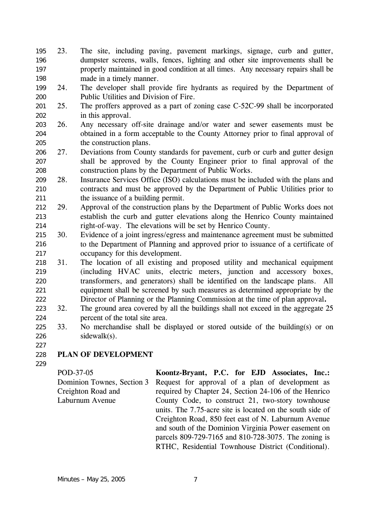- 23. The site, including paving, pavement markings, signage, curb and gutter, dumpster screens, walls, fences, lighting and other site improvements shall be properly maintained in good condition at all times. Any necessary repairs shall be made in a timely manner. 195 196 197 198
- 199 200 24. The developer shall provide fire hydrants as required by the Department of Public Utilities and Division of Fire.
- 201 202 25. The proffers approved as a part of zoning case C-52C-99 shall be incorporated in this approval.
- 203 204 205 26. Any necessary off-site drainage and/or water and sewer easements must be obtained in a form acceptable to the County Attorney prior to final approval of the construction plans.
- 206 207 208 27. Deviations from County standards for pavement, curb or curb and gutter design shall be approved by the County Engineer prior to final approval of the construction plans by the Department of Public Works.
- 209 210 211 28. Insurance Services Office (ISO) calculations must be included with the plans and contracts and must be approved by the Department of Public Utilities prior to the issuance of a building permit.
- 212 213 214 29. Approval of the construction plans by the Department of Public Works does not establish the curb and gutter elevations along the Henrico County maintained right-of-way. The elevations will be set by Henrico County.
- 215 216 217 30. Evidence of a joint ingress/egress and maintenance agreement must be submitted to the Department of Planning and approved prior to issuance of a certificate of occupancy for this development.
- 218 219 220 221 222 31. The location of all existing and proposed utility and mechanical equipment (including HVAC units, electric meters, junction and accessory boxes, transformers, and generators) shall be identified on the landscape plans. All equipment shall be screened by such measures as determined appropriate by the Director of Planning or the Planning Commission at the time of plan approval**.**
- 223 224 32. The ground area covered by all the buildings shall not exceed in the aggregate 25 percent of the total site area.
- 225 226 33. No merchandise shall be displayed or stored outside of the building(s) or on sidewalk(s).
- 228 **PLAN OF DEVELOPMENT**
- 229

227

POD-37-05 Dominion Townes, Section 3 Creighton Road and Laburnum Avenue **Koontz-Bryant, P.C. for EJD Associates, Inc.:**  Request for approval of a plan of development as required by Chapter 24, Section 24-106 of the Henrico County Code, to construct 21, two-story townhouse units. The 7.75-acre site is located on the south side of Creighton Road, 850 feet east of N. Laburnum Avenue and south of the Dominion Virginia Power easement on parcels 809-729-7165 and 810-728-3075. The zoning is RTHC, Residential Townhouse District (Conditional).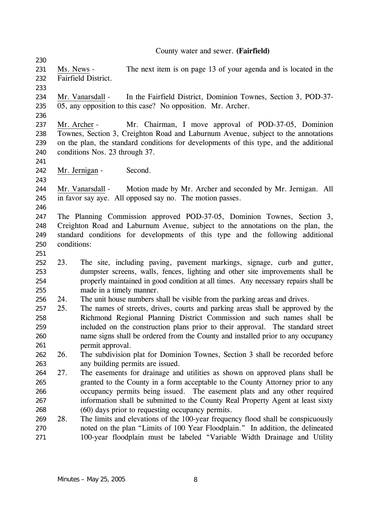County water and sewer. **(Fairfield)** 

Ms. News - The next item is on page 13 of your agenda and is located in the Fairfield District. 231 232

233

230

Mr. Vanarsdall - In the Fairfield District, Dominion Townes, Section 3, POD-37- 05, any opposition to this case? No opposition. Mr. Archer. 234 235

236

241

243

Mr. Archer - Mr. Chairman, I move approval of POD-37-05, Dominion Townes, Section 3, Creighton Road and Laburnum Avenue, subject to the annotations on the plan, the standard conditions for developments of this type, and the additional conditions Nos. 23 through 37. 237 238 239 240

242 Mr. Jernigan - Second.

Mr. Vanarsdall - Motion made by Mr. Archer and seconded by Mr. Jernigan. All in favor say aye. All opposed say no. The motion passes. 244 245

246

247 248 249 250 The Planning Commission approved POD-37-05, Dominion Townes, Section 3, Creighton Road and Laburnum Avenue, subject to the annotations on the plan, the standard conditions for developments of this type and the following additional conditions:

251

252 253 254 255 23. The site, including paving, pavement markings, signage, curb and gutter, dumpster screens, walls, fences, lighting and other site improvements shall be properly maintained in good condition at all times. Any necessary repairs shall be made in a timely manner.

- 256 24. The unit house numbers shall be visible from the parking areas and drives.
- 257 258 259 260 261 25. The names of streets, drives, courts and parking areas shall be approved by the Richmond Regional Planning District Commission and such names shall be included on the construction plans prior to their approval. The standard street name signs shall be ordered from the County and installed prior to any occupancy permit approval.

262 263 26. The subdivision plat for Dominion Townes, Section 3 shall be recorded before any building permits are issued.

- 264 265 266 267 268 27. The easements for drainage and utilities as shown on approved plans shall be granted to the County in a form acceptable to the County Attorney prior to any occupancy permits being issued. The easement plats and any other required information shall be submitted to the County Real Property Agent at least sixty (60) days prior to requesting occupancy permits.
- 269 270 271 28. The limits and elevations of the 100-year frequency flood shall be conspicuously noted on the plan "Limits of 100 Year Floodplain." In addition, the delineated 100-year floodplain must be labeled "Variable Width Drainage and Utility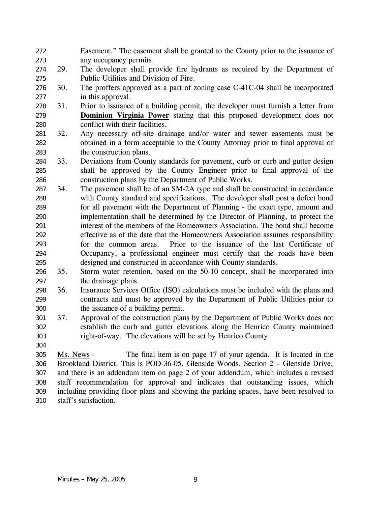- Easement." The easement shall be granted to the County prior to the issuance of any occupancy permits. 272 273
- 274 275 29. The developer shall provide fire hydrants as required by the Department of Public Utilities and Division of Fire.
- 276 277 30. The proffers approved as a part of zoning case C-41C-04 shall be incorporated in this approval.
- 278 31. Prior to issuance of a building permit, the developer must furnish a letter from **Dominion Virginia Power** stating that this proposed development does not conflict with their facilities. 279 280
- 281 282 283 32. Any necessary off-site drainage and/or water and sewer easements must be obtained in a form acceptable to the County Attorney prior to final approval of the construction plans.
- 284 285 286 33. Deviations from County standards for pavement, curb or curb and gutter design shall be approved by the County Engineer prior to final approval of the construction plans by the Department of Public Works.
- 287 288 289 290 291 292 293 294 295 34. The pavement shall be of an SM-2A type and shall be constructed in accordance with County standard and specifications. The developer shall post a defect bond for all pavement with the Department of Planning - the exact type, amount and implementation shall be determined by the Director of Planning, to protect the interest of the members of the Homeowners Association. The bond shall become effective as of the date that the Homeowners Association assumes responsibility for the common areas. Prior to the issuance of the last Certificate of Occupancy, a professional engineer must certify that the roads have been designed and constructed in accordance with County standards.
- 296 297 35. Storm water retention, based on the 50-10 concept, shall be incorporated into the drainage plans.
- 298 299 300 36. Insurance Services Office (ISO) calculations must be included with the plans and contracts and must be approved by the Department of Public Utilities prior to the issuance of a building permit.
- 301 302 303 37. Approval of the construction plans by the Department of Public Works does not establish the curb and gutter elevations along the Henrico County maintained right-of-way. The elevations will be set by Henrico County.
- Ms. News The final item is on page 17 of your agenda. It is located in the Brookland District. This is POD-36-05, Glenside Woods, Section 2 – Glenside Drive, and there is an addendum item on page 2 of your addendum, which includes a revised staff recommendation for approval and indicates that outstanding issues, which including providing floor plans and showing the parking spaces, have been resolved to staff's satisfaction. 305 306 307 308 309 310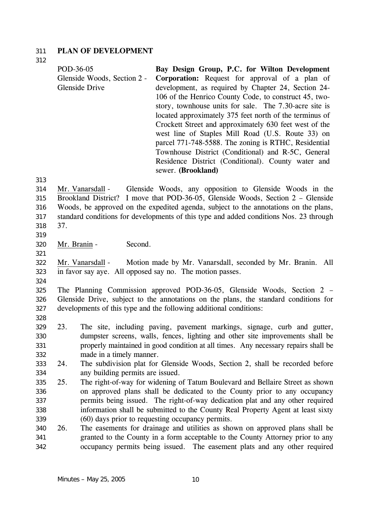### 311 **PLAN OF DEVELOPMENT**

312

| POD-36-05                   | Bay Design Group, P.C. for Wilton Development           |
|-----------------------------|---------------------------------------------------------|
| Glenside Woods, Section 2 - | <b>Corporation:</b> Request for approval of a plan of   |
| <b>Glenside Drive</b>       | development, as required by Chapter 24, Section 24-     |
|                             | 106 of the Henrico County Code, to construct 45, two-   |
|                             | story, townhouse units for sale. The 7.30-acre site is  |
|                             | located approximately 375 feet north of the terminus of |
|                             | Crockett Street and approximately 630 feet west of the  |
|                             | west line of Staples Mill Road (U.S. Route 33) on       |
|                             | parcel 771-748-5588. The zoning is RTHC, Residential    |
|                             | Townhouse District (Conditional) and R-5C, General      |
|                             | Residence District (Conditional). County water and      |
|                             | sewer. (Brookland)                                      |

313

Mr. Vanarsdall - Glenside Woods, any opposition to Glenside Woods in the Brookland District? I move that POD-36-05, Glenside Woods, Section 2 – Glenside Woods, be approved on the expedited agenda, subject to the annotations on the plans, standard conditions for developments of this type and added conditions Nos. 23 through 37. 314 315 316 317 318

319

320 Mr. Branin - Second.

321

Mr. Vanarsdall - Motion made by Mr. Vanarsdall, seconded by Mr. Branin. All in favor say aye. All opposed say no. The motion passes. 322 323

324

325 326 327 The Planning Commission approved POD-36-05, Glenside Woods, Section 2 – Glenside Drive, subject to the annotations on the plans, the standard conditions for developments of this type and the following additional conditions:

328

329 330 331 332 23. The site, including paving, pavement markings, signage, curb and gutter, dumpster screens, walls, fences, lighting and other site improvements shall be properly maintained in good condition at all times. Any necessary repairs shall be made in a timely manner.

- 333 334 24. The subdivision plat for Glenside Woods, Section 2, shall be recorded before any building permits are issued.
- 335 336 337 338 339 25. The right-of-way for widening of Tatum Boulevard and Bellaire Street as shown on approved plans shall be dedicated to the County prior to any occupancy permits being issued. The right-of-way dedication plat and any other required information shall be submitted to the County Real Property Agent at least sixty (60) days prior to requesting occupancy permits.
- 340 341 342 26. The easements for drainage and utilities as shown on approved plans shall be granted to the County in a form acceptable to the County Attorney prior to any occupancy permits being issued. The easement plats and any other required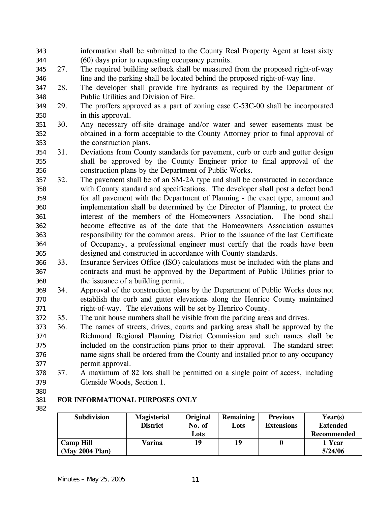- information shall be submitted to the County Real Property Agent at least sixty (60) days prior to requesting occupancy permits. 343 344
- 345 346 27. The required building setback shall be measured from the proposed right-of-way line and the parking shall be located behind the proposed right-of-way line.
- 347 348 28. The developer shall provide fire hydrants as required by the Department of Public Utilities and Division of Fire.
- 349 350 29. The proffers approved as a part of zoning case C-53C-00 shall be incorporated in this approval.
- 351 352 353 30. Any necessary off-site drainage and/or water and sewer easements must be obtained in a form acceptable to the County Attorney prior to final approval of the construction plans.
- 354 355 356 31. Deviations from County standards for pavement, curb or curb and gutter design shall be approved by the County Engineer prior to final approval of the construction plans by the Department of Public Works.
- 357 358 359 360 361 362 363 364 365 32. The pavement shall be of an SM-2A type and shall be constructed in accordance with County standard and specifications. The developer shall post a defect bond for all pavement with the Department of Planning - the exact type, amount and implementation shall be determined by the Director of Planning, to protect the interest of the members of the Homeowners Association. The bond shall become effective as of the date that the Homeowners Association assumes responsibility for the common areas. Prior to the issuance of the last Certificate of Occupancy, a professional engineer must certify that the roads have been designed and constructed in accordance with County standards.
- 366 367 368 33. Insurance Services Office (ISO) calculations must be included with the plans and contracts and must be approved by the Department of Public Utilities prior to the issuance of a building permit.
- 369 370 371 34. Approval of the construction plans by the Department of Public Works does not establish the curb and gutter elevations along the Henrico County maintained right-of-way. The elevations will be set by Henrico County.
- 372 35. The unit house numbers shall be visible from the parking areas and drives.
- 373 374 375 376 377 36. The names of streets, drives, courts and parking areas shall be approved by the Richmond Regional Planning District Commission and such names shall be included on the construction plans prior to their approval. The standard street name signs shall be ordered from the County and installed prior to any occupancy permit approval.
- 378 379 37. A maximum of 82 lots shall be permitted on a single point of access, including Glenside Woods, Section 1.
- 380

#### 381 382 **FOR INFORMATIONAL PURPOSES ONLY**

| <b>Subdivision</b> | <b>Magisterial</b> | Original | <b>Remaining</b> | <b>Previous</b>   | Year(s)         |
|--------------------|--------------------|----------|------------------|-------------------|-----------------|
|                    | <b>District</b>    | No. of   | Lots             | <b>Extensions</b> | <b>Extended</b> |
|                    |                    | Lots     |                  |                   | Recommended     |
| <b>Camp Hill</b>   | Varina             | 19       | 19               |                   | 1 Year          |
| (May 2004 Plan)    |                    |          |                  |                   | 5/24/06         |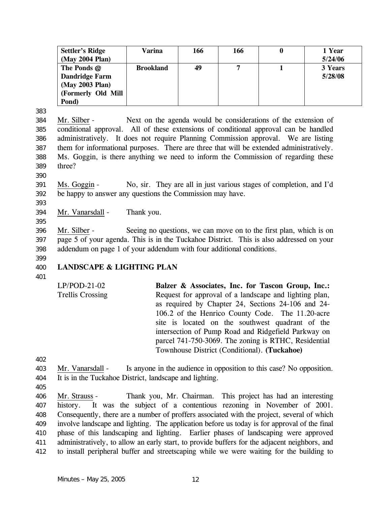| <b>Settler's Ridge</b> | Varina           | 166 | 166 | v | 1 Year  |
|------------------------|------------------|-----|-----|---|---------|
| (May 2004 Plan)        |                  |     |     |   | 5/24/06 |
| The Ponds @            | <b>Brookland</b> | 49  | 7   |   | 3 Years |
| Dandridge Farm         |                  |     |     |   | 5/28/08 |
| (May 2003 Plan)        |                  |     |     |   |         |
| (Formerly Old Mill     |                  |     |     |   |         |
| Pond)                  |                  |     |     |   |         |

383

Mr. Silber - Next on the agenda would be considerations of the extension of conditional approval. All of these extensions of conditional approval can be handled administratively. It does not require Planning Commission approval. We are listing them for informational purposes. There are three that will be extended administratively. Ms. Goggin, is there anything we need to inform the Commission of regarding these three? 384 385 386 387 388 389

390

Ms. Goggin - No, sir. They are all in just various stages of completion, and I'd be happy to answer any questions the Commission may have. 391 392

393

395

394 Mr. Vanarsdall - Thank you.

Mr. Silber - Seeing no questions, we can move on to the first plan, which is on page 5 of your agenda. This is in the Tuckahoe District. This is also addressed on your addendum on page 1 of your addendum with four additional conditions. 396 397 398

- 400 **LANDSCAPE & LIGHTING PLAN**
- 401

399

LP/POD-21-02 Trellis Crossing **Balzer & Associates, Inc. for Tascon Group, Inc.:**  Request for approval of a landscape and lighting plan, as required by Chapter 24, Sections 24-106 and 24- 106.2 of the Henrico County Code. The 11.20-acre site is located on the southwest quadrant of the intersection of Pump Road and Ridgefield Parkway on parcel 741-750-3069. The zoning is RTHC, Residential Townhouse District (Conditional). **(Tuckahoe)** 

402

- Mr. Vanarsdall Is anyone in the audience in opposition to this case? No opposition. It is in the Tuckahoe District, landscape and lighting. 403 404
- 405

Mr. Strauss - Thank you, Mr. Chairman. This project has had an interesting history. It was the subject of a contentious rezoning in November of 2001. Consequently, there are a number of proffers associated with the project, several of which involve landscape and lighting. The application before us today is for approval of the final phase of this landscaping and lighting. Earlier phases of landscaping were approved administratively, to allow an early start, to provide buffers for the adjacent neighbors, and to install peripheral buffer and streetscaping while we were waiting for the building to 406 407 408 409 410 411 412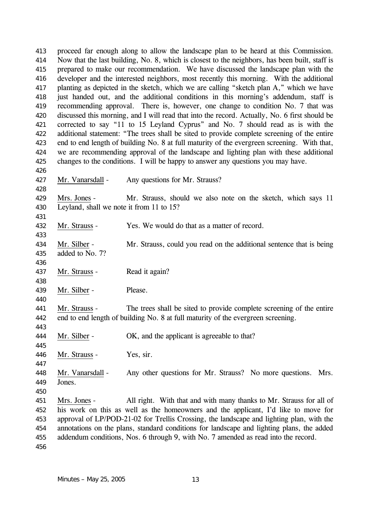proceed far enough along to allow the landscape plan to be heard at this Commission. Now that the last building, No. 8, which is closest to the neighbors, has been built, staff is prepared to make our recommendation. We have discussed the landscape plan with the developer and the interested neighbors, most recently this morning. With the additional planting as depicted in the sketch, which we are calling "sketch plan A," which we have just handed out, and the additional conditions in this morning's addendum, staff is recommending approval. There is, however, one change to condition No. 7 that was discussed this morning, and I will read that into the record. Actually, No. 6 first should be corrected to say "11 to 15 Leyland Cyprus" and No. 7 should read as is with the additional statement: "The trees shall be sited to provide complete screening of the entire end to end length of building No. 8 at full maturity of the evergreen screening. With that, we are recommending approval of the landscape and lighting plan with these additional changes to the conditions. I will be happy to answer any questions you may have. 413 414 415 416 417 418 419 420 421 422 423 424 425 426 427 Mr. Vanarsdall - Any questions for Mr. Strauss? 428 Mrs. Jones - Mr. Strauss, should we also note on the sketch, which says 11 Leyland, shall we note it from 11 to 15? 429 430 431 432 Mr. Strauss - Yes. We would do that as a matter of record. 433 Mr. Silber - Mr. Strauss, could you read on the additional sentence that is being added to No. 7? 434 435 436 437 Mr. Strauss - Read it again? 438 439 Mr. Silber - Please. 440 Mr. Strauss - The trees shall be sited to provide complete screening of the entire end to end length of building No. 8 at full maturity of the evergreen screening. 441 442 443 444 Mr. Silber - OK, and the applicant is agreeable to that? 445 446 Mr. Strauss - Yes, sir. 447 Mr. Vanarsdall - Any other questions for Mr. Strauss? No more questions. Mrs. Jones. 448 449 450 Mrs. Jones - All right. With that and with many thanks to Mr. Strauss for all of his work on this as well as the homeowners and the applicant, I'd like to move for approval of LP/POD-21-02 for Trellis Crossing, the landscape and lighting plan, with the annotations on the plans, standard conditions for landscape and lighting plans, the added addendum conditions, Nos. 6 through 9, with No. 7 amended as read into the record. 451 452 453 454 455 456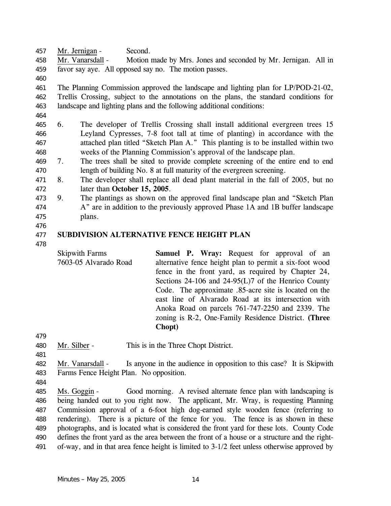457 Mr. Jernigan - Second.

Mr. Vanarsdall - Motion made by Mrs. Jones and seconded by Mr. Jernigan. All in favor say aye. All opposed say no. The motion passes. 458 459

460

461 462 463 The Planning Commission approved the landscape and lighting plan for LP/POD-21-02, Trellis Crossing, subject to the annotations on the plans, the standard conditions for landscape and lighting plans and the following additional conditions:

- 464
- 465 466 467 468 6. The developer of Trellis Crossing shall install additional evergreen trees 15 Leyland Cypresses, 7-8 foot tall at time of planting) in accordance with the attached plan titled "Sketch Plan A." This planting is to be installed within two weeks of the Planning Commission's approval of the landscape plan.
- 469 470 7. The trees shall be sited to provide complete screening of the entire end to end length of building No. 8 at full maturity of the evergreen screening.
- 471 472 8. The developer shall replace all dead plant material in the fall of 2005, but no later than **October 15, 2005**.
- 473 474 475 9. The plantings as shown on the approved final landscape plan and "Sketch Plan A" are in addition to the previously approved Phase 1A and 1B buffer landscape plans.
- 476

#### 477 **SUBDIVISION ALTERNATIVE FENCE HEIGHT PLAN**

478

Skipwith Farms 7603-05 Alvarado Road **Samuel P. Wray:** Request for approval of an alternative fence height plan to permit a six-foot wood fence in the front yard, as required by Chapter 24, Sections 24-106 and 24-95(L)7 of the Henrico County Code. The approximate .85-acre site is located on the east line of Alvarado Road at its intersection with Anoka Road on parcels 761-747-2250 and 2339. The zoning is R-2, One-Family Residence District. **(Three Chopt)** 

- 479
- 480 Mr. Silber This is in the Three Chopt District.
- 481

Mr. Vanarsdall - Is anyone in the audience in opposition to this case? It is Skipwith Farms Fence Height Plan. No opposition. 482 483

- 484
- Ms. Goggin Good morning. A revised alternate fence plan with landscaping is being handed out to you right now. The applicant, Mr. Wray, is requesting Planning Commission approval of a 6-foot high dog-earned style wooden fence (referring to rendering). There is a picture of the fence for you. The fence is as shown in these photographs, and is located what is considered the front yard for these lots. County Code defines the front yard as the area between the front of a house or a structure and the rightof-way, and in that area fence height is limited to 3-1/2 feet unless otherwise approved by 485 486 487 488 489 490 491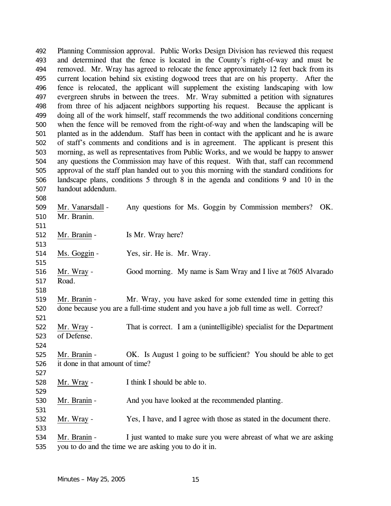Planning Commission approval. Public Works Design Division has reviewed this request and determined that the fence is located in the County's right-of-way and must be removed. Mr. Wray has agreed to relocate the fence approximately 12 feet back from its current location behind six existing dogwood trees that are on his property. After the fence is relocated, the applicant will supplement the existing landscaping with low evergreen shrubs in between the trees. Mr. Wray submitted a petition with signatures from three of his adjacent neighbors supporting his request. Because the applicant is doing all of the work himself, staff recommends the two additional conditions concerning when the fence will be removed from the right-of-way and when the landscaping will be planted as in the addendum. Staff has been in contact with the applicant and he is aware of staff's comments and conditions and is in agreement. The applicant is present this morning, as well as representatives from Public Works, and we would be happy to answer any questions the Commission may have of this request. With that, staff can recommend approval of the staff plan handed out to you this morning with the standard conditions for landscape plans, conditions 5 through 8 in the agenda and conditions 9 and 10 in the handout addendum. 492 493 494 495 496 497 498 499 500 501 502 503 504 505 506 507 508 Mr. Vanarsdall - Any questions for Ms. Goggin by Commission members? OK. Mr. Branin. 509 510 511 512 Mr. Branin - Is Mr. Wray here? 513 514 Ms. Goggin - Yes, sir. He is. Mr. Wray. 515 Mr. Wray - Good morning. My name is Sam Wray and I live at 7605 Alvarado Road. 516 517 518 Mr. Branin - Mr. Wray, you have asked for some extended time in getting this done because you are a full-time student and you have a job full time as well. Correct? 519 520 521 Mr. Wray - That is correct. I am a (unintelligible) specialist for the Department of Defense. 522 523 524 Mr. Branin - OK. Is August 1 going to be sufficient? You should be able to get it done in that amount of time? 525 526 527 528 Mr. Wray - I think I should be able to. 529 530 Mr. Branin - And you have looked at the recommended planting. 531 532 Mr. Wray - Yes, I have, and I agree with those as stated in the document there. 533 Mr. Branin - I just wanted to make sure you were abreast of what we are asking 534

you to do and the time we are asking you to do it in. 535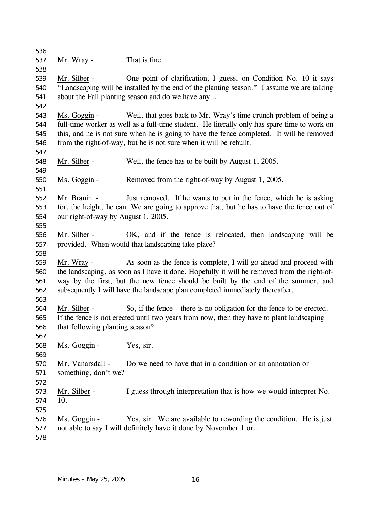Mr. Wray - That is fine. Mr. Silber - One point of clarification, I guess, on Condition No. 10 it says "Landscaping will be installed by the end of the planting season." I assume we are talking about the Fall planting season and do we have any… Ms. Goggin - Well, that goes back to Mr. Wray's time crunch problem of being a full-time worker as well as a full-time student. He literally only has spare time to work on this, and he is not sure when he is going to have the fence completed. It will be removed from the right-of-way, but he is not sure when it will be rebuilt. Mr. Silber - Well, the fence has to be built by August 1, 2005. Ms. Goggin - Removed from the right-of-way by August 1, 2005. Mr. Branin - Just removed. If he wants to put in the fence, which he is asking for, the height, he can. We are going to approve that, but he has to have the fence out of our right-of-way by August 1, 2005. Mr. Silber - OK, and if the fence is relocated, then landscaping will be provided. When would that landscaping take place? Mr. Wray - As soon as the fence is complete, I will go ahead and proceed with the landscaping, as soon as I have it done. Hopefully it will be removed from the right-ofway by the first, but the new fence should be built by the end of the summer, and subsequently I will have the landscape plan completed immediately thereafter. Mr. Silber - So, if the fence – there is no obligation for the fence to be erected. If the fence is not erected until two years from now, then they have to plant landscaping that following planting season? Ms. Goggin - Yes, sir. Mr. Vanarsdall - Do we need to have that in a condition or an annotation or something, don't we? Mr. Silber - I guess through interpretation that is how we would interpret No. 10. Ms. Goggin - Yes, sir. We are available to rewording the condition. He is just not able to say I will definitely have it done by November 1 or…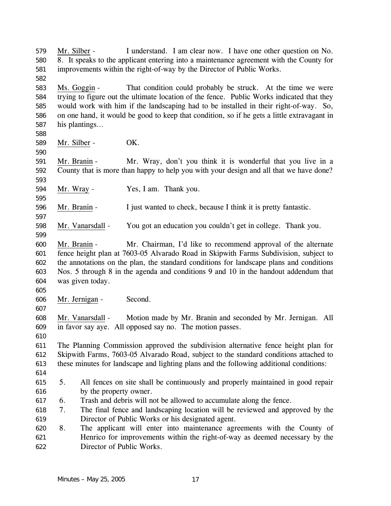Mr. Silber - I understand. I am clear now. I have one other question on No. 8. It speaks to the applicant entering into a maintenance agreement with the County for improvements within the right-of-way by the Director of Public Works. Ms. Goggin - That condition could probably be struck. At the time we were trying to figure out the ultimate location of the fence. Public Works indicated that they would work with him if the landscaping had to be installed in their right-of-way. So, on one hand, it would be good to keep that condition, so if he gets a little extravagant in his plantings… Mr. Silber - OK. Mr. Branin - Mr. Wray, don't you think it is wonderful that you live in a County that is more than happy to help you with your design and all that we have done? Mr. Wray - Yes, I am. Thank you. Mr. Branin - I just wanted to check, because I think it is pretty fantastic. Mr. Vanarsdall - You got an education you couldn't get in college. Thank you. Mr. Branin - Mr. Chairman, I'd like to recommend approval of the alternate fence height plan at 7603-05 Alvarado Road in Skipwith Farms Subdivision, subject to the annotations on the plan, the standard conditions for landscape plans and conditions Nos. 5 through 8 in the agenda and conditions 9 and 10 in the handout addendum that was given today. Mr. Jernigan - Second. Mr. Vanarsdall - Motion made by Mr. Branin and seconded by Mr. Jernigan. All in favor say aye. All opposed say no. The motion passes. The Planning Commission approved the subdivision alternative fence height plan for Skipwith Farms, 7603-05 Alvarado Road, subject to the standard conditions attached to these minutes for landscape and lighting plans and the following additional conditions: 5. All fences on site shall be continuously and properly maintained in good repair by the property owner. 6. Trash and debris will not be allowed to accumulate along the fence. 7. The final fence and landscaping location will be reviewed and approved by the Director of Public Works or his designated agent. 8. The applicant will enter into maintenance agreements with the County of Henrico for improvements within the right-of-way as deemed necessary by the Director of Public Works.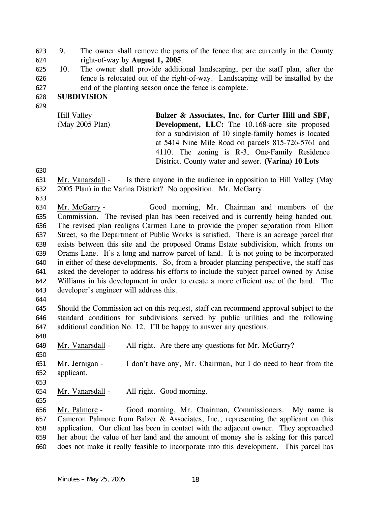9. The owner shall remove the parts of the fence that are currently in the County right-of-way by **August 1, 2005**. 623 624

625 626 627 10. The owner shall provide additional landscaping, per the staff plan, after the fence is relocated out of the right-of-way. Landscaping will be installed by the end of the planting season once the fence is complete.

#### 628 **SUBDIVISION**

629

Hill Valley (May 2005 Plan) **Balzer & Associates, Inc. for Carter Hill and SBF, Development, LLC:** The 10.168-acre site proposed for a subdivision of 10 single-family homes is located at 5414 Nine Mile Road on parcels 815-726-5761 and 4110. The zoning is R-3, One-Family Residence District. County water and sewer. **(Varina) 10 Lots** 

630

633

Mr. Vanarsdall - Is there anyone in the audience in opposition to Hill Valley (May 2005 Plan) in the Varina District? No opposition. Mr. McGarry. 631 632

Mr. McGarry - Good morning, Mr. Chairman and members of the Commission. The revised plan has been received and is currently being handed out. The revised plan realigns Carmen Lane to provide the proper separation from Elliott Street, so the Department of Public Works is satisfied. There is an acreage parcel that exists between this site and the proposed Orams Estate subdivision, which fronts on Orams Lane. It's a long and narrow parcel of land. It is not going to be incorporated in either of these developments. So, from a broader planning perspective, the staff has asked the developer to address his efforts to include the subject parcel owned by Anise Williams in his development in order to create a more efficient use of the land. The developer's engineer will address this. 634 635 636 637 638 639 640 641 642 643

644

648

650

645 646 647 Should the Commission act on this request, staff can recommend approval subject to the standard conditions for subdivisions served by public utilities and the following additional condition No. 12. I'll be happy to answer any questions.

649 Mr. Vanarsdall - All right. Are there any questions for Mr. McGarry?

Mr. Jernigan - I don't have any, Mr. Chairman, but I do need to hear from the applicant. 651 652

653

655

654 Mr. Vanarsdall - All right. Good morning.

Mr. Palmore - Good morning, Mr. Chairman, Commissioners. My name is Cameron Palmore from Balzer & Associates, Inc., representing the applicant on this application. Our client has been in contact with the adjacent owner. They approached her about the value of her land and the amount of money she is asking for this parcel does not make it really feasible to incorporate into this development. This parcel has 656 657 658 659 660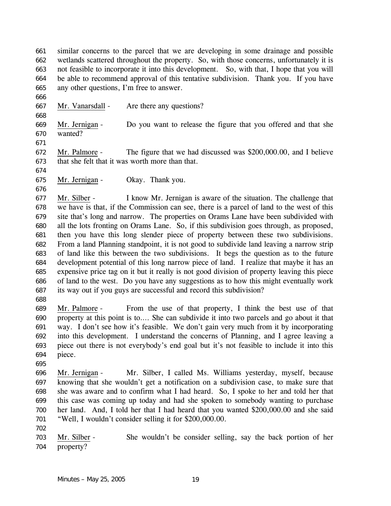similar concerns to the parcel that we are developing in some drainage and possible wetlands scattered throughout the property. So, with those concerns, unfortunately it is not feasible to incorporate it into this development. So, with that, I hope that you will be able to recommend approval of this tentative subdivision. Thank you. If you have any other questions, I'm free to answer. 661 662 663 664 665

666

668

667 Mr. Vanarsdall - Are there any questions?

Mr. Jernigan - Do you want to release the figure that you offered and that she wanted? 669 670 671

Mr. Palmore - The figure that we had discussed was \$200,000.00, and I believe that she felt that it was worth more than that. 672 673

674

676

675 Mr. Jernigan - Okay. Thank you.

Mr. Silber - I know Mr. Jernigan is aware of the situation. The challenge that we have is that, if the Commission can see, there is a parcel of land to the west of this site that's long and narrow. The properties on Orams Lane have been subdivided with all the lots fronting on Orams Lane. So, if this subdivision goes through, as proposed, then you have this long slender piece of property between these two subdivisions. From a land Planning standpoint, it is not good to subdivide land leaving a narrow strip of land like this between the two subdivisions. It begs the question as to the future development potential of this long narrow piece of land. I realize that maybe it has an expensive price tag on it but it really is not good division of property leaving this piece of land to the west. Do you have any suggestions as to how this might eventually work its way out if you guys are successful and record this subdivision? 677 678 679 680 681 682 683 684 685 686 687

688

Mr. Palmore - From the use of that property, I think the best use of that property at this point is to…. She can subdivide it into two parcels and go about it that way. I don't see how it's feasible. We don't gain very much from it by incorporating into this development. I understand the concerns of Planning, and I agree leaving a piece out there is not everybody's end goal but it's not feasible to include it into this piece. 689 690 691 692 693 694

695

Mr. Jernigan - Mr. Silber, I called Ms. Williams yesterday, myself, because knowing that she wouldn't get a notification on a subdivision case, to make sure that she was aware and to confirm what I had heard. So, I spoke to her and told her that this case was coming up today and had she spoken to somebody wanting to purchase her land. And, I told her that I had heard that you wanted \$200,000.00 and she said "Well, I wouldn't consider selling it for \$200,000.00. 696 697 698 699 700 701

702

Mr. Silber - She wouldn't be consider selling, say the back portion of her property? 703 704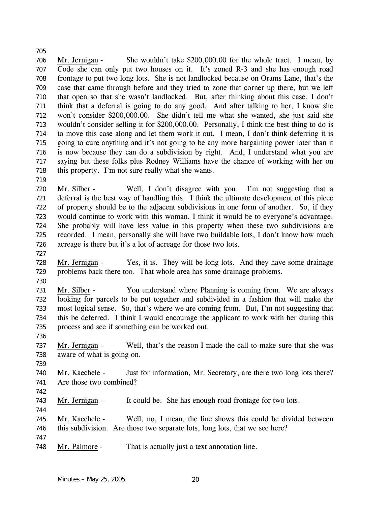Mr. Jernigan - She wouldn't take \$200,000.00 for the whole tract. I mean, by Code she can only put two houses on it. It's zoned R-3 and she has enough road frontage to put two long lots. She is not landlocked because on Orams Lane, that's the case that came through before and they tried to zone that corner up there, but we left that open so that she wasn't landlocked. But, after thinking about this case, I don't think that a deferral is going to do any good. And after talking to her, I know she won't consider \$200,000.00. She didn't tell me what she wanted, she just said she wouldn't consider selling it for \$200,000.00. Personally, I think the best thing to do is to move this case along and let them work it out. I mean, I don't think deferring it is going to cure anything and it's not going to be any more bargaining power later than it is now because they can do a subdivision by right. And, I understand what you are saying but these folks plus Rodney Williams have the chance of working with her on this property. I'm not sure really what she wants. 706 707 708 709 710 711 712 713 714 715 716 717 718

- Mr. Silber Well, I don't disagree with you. I'm not suggesting that a deferral is the best way of handling this. I think the ultimate development of this piece of property should be to the adjacent subdivisions in one form of another. So, if they would continue to work with this woman, I think it would be to everyone's advantage. She probably will have less value in this property when these two subdivisions are recorded. I mean, personally she will have two buildable lots, I don't know how much acreage is there but it's a lot of acreage for those two lots. 720 721 722 723 724 725 726
- 727

719

705

- Mr. Jernigan Yes, it is. They will be long lots. And they have some drainage problems back there too. That whole area has some drainage problems. 728 729
- 730
- Mr. Silber You understand where Planning is coming from. We are always looking for parcels to be put together and subdivided in a fashion that will make the most logical sense. So, that's where we are coming from. But, I'm not suggesting that this be deferred. I think I would encourage the applicant to work with her during this process and see if something can be worked out. 731 732 733 734 735
- Mr. Jernigan Well, that's the reason I made the call to make sure that she was aware of what is going on. 737 738
- 739

736

Mr. Kaechele - Just for information, Mr. Secretary, are there two long lots there? Are those two combined? 740 741

742

744

743 Mr. Jernigan - It could be. She has enough road frontage for two lots.

Mr. Kaechele - Well, no, I mean, the line shows this could be divided between this subdivision. Are those two separate lots, long lots, that we see here? 745 746

747

748 Mr. Palmore - That is actually just a text annotation line.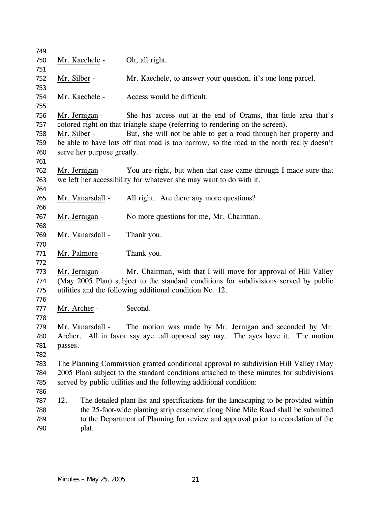| 749 |              |                            |                                                                                           |
|-----|--------------|----------------------------|-------------------------------------------------------------------------------------------|
| 750 |              | Mr. Kaechele -             | Oh, all right.                                                                            |
| 751 |              |                            |                                                                                           |
| 752 | Mr. Silber - |                            | Mr. Kaechele, to answer your question, it's one long parcel.                              |
| 753 |              |                            |                                                                                           |
| 754 |              | Mr. Kaechele -             | Access would be difficult.                                                                |
| 755 |              |                            |                                                                                           |
| 756 |              | Mr. Jernigan -             | She has access out at the end of Orams, that little area that's                           |
| 757 |              |                            | colored right on that triangle shape (referring to rendering on the screen).              |
| 758 | Mr. Silber - |                            | But, she will not be able to get a road through her property and                          |
| 759 |              |                            | be able to have lots off that road is too narrow, so the road to the north really doesn't |
| 760 |              | serve her purpose greatly. |                                                                                           |
| 761 |              |                            |                                                                                           |
| 762 |              | Mr. Jernigan -             | You are right, but when that case came through I made sure that                           |
| 763 |              |                            | we left her accessibility for whatever she may want to do with it.                        |
| 764 |              |                            |                                                                                           |
| 765 |              | Mr. Vanarsdall -           | All right. Are there any more questions?                                                  |
| 766 |              |                            |                                                                                           |
| 767 |              | Mr. Jernigan -             | No more questions for me, Mr. Chairman.                                                   |
| 768 |              |                            |                                                                                           |
| 769 |              | Mr. Vanarsdall -           | Thank you.                                                                                |
| 770 |              |                            |                                                                                           |
| 771 |              | Mr. Palmore -              | Thank you.                                                                                |
| 772 |              |                            |                                                                                           |
| 773 |              | Mr. Jernigan -             | Mr. Chairman, with that I will move for approval of Hill Valley                           |
| 774 |              |                            | (May 2005 Plan) subject to the standard conditions for subdivisions served by public      |
| 775 |              |                            | utilities and the following additional condition No. 12.                                  |
| 776 |              |                            |                                                                                           |
| 777 | Mr. Archer - |                            | Second.                                                                                   |
| 778 |              |                            |                                                                                           |
| 779 |              | Mr. Vanarsdall -           | The motion was made by Mr. Jernigan and seconded by Mr.                                   |
| 780 |              |                            | Archer. All in favor say ayeall opposed say nay. The ayes have it. The motion             |
| 781 | passes.      |                            |                                                                                           |
| 782 |              |                            |                                                                                           |
| 783 |              |                            | The Planning Commission granted conditional approval to subdivision Hill Valley (May      |
| 784 |              |                            | 2005 Plan) subject to the standard conditions attached to these minutes for subdivisions  |
| 785 |              |                            | served by public utilities and the following additional condition:                        |
| 786 |              |                            |                                                                                           |
| 787 | 12.          |                            | The detailed plant list and specifications for the landscaping to be provided within      |
| 788 |              |                            | the 25-foot-wide planting strip easement along Nine Mile Road shall be submitted          |
| 789 |              |                            | to the Department of Planning for review and approval prior to recordation of the         |
| 790 |              | plat.                      |                                                                                           |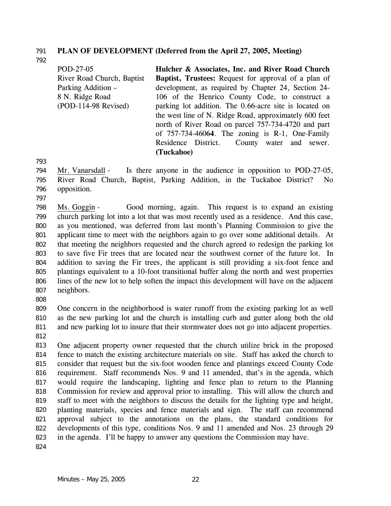### 791 **PLAN OF DEVELOPMENT (Deferred from the April 27, 2005, Meeting)**

792

| POD-27-05                  | Hulcher & Associates, Inc. and River Road Church            |
|----------------------------|-------------------------------------------------------------|
| River Road Church, Baptist | <b>Baptist, Trustees:</b> Request for approval of a plan of |
| <b>Parking Addition –</b>  | development, as required by Chapter 24, Section 24-         |
| 8 N. Ridge Road            | 106 of the Henrico County Code, to construct a              |
| (POD-114-98 Revised)       | parking lot addition. The 0.66-acre site is located on      |
|                            | the west line of N. Ridge Road, approximately 600 feet      |
|                            | north of River Road on parcel 757-734-4720 and part         |
|                            | of $757-734-46064$ . The zoning is R-1, One-Family          |
|                            | Residence District. County water and sewer.                 |
|                            | (Tuckahoe)                                                  |

793

Mr. Vanarsdall - Is there anyone in the audience in opposition to POD-27-05, River Road Church, Baptist, Parking Addition, in the Tuckahoe District? No opposition. 794 795 796

797

Ms. Goggin - Good morning, again. This request is to expand an existing church parking lot into a lot that was most recently used as a residence. And this case, as you mentioned, was deferred from last month's Planning Commission to give the applicant time to meet with the neighbors again to go over some additional details. At that meeting the neighbors requested and the church agreed to redesign the parking lot to save five Fir trees that are located near the southwest corner of the future lot. In addition to saving the Fir trees, the applicant is still providing a six-foot fence and plantings equivalent to a 10-foot transitional buffer along the north and west properties lines of the new lot to help soften the impact this development will have on the adjacent neighbors. 798 799 800 801 802 803 804 805 806 807

808

809 810 811 812 One concern in the neighborhood is water runoff from the existing parking lot as well as the new parking lot and the church is installing curb and gutter along both the old and new parking lot to insure that their stormwater does not go into adjacent properties.

813 814 815 816 817 818 819 820 821 822 823 One adjacent property owner requested that the church utilize brick in the proposed fence to match the existing architecture materials on site. Staff has asked the church to consider that request but the six-foot wooden fence and plantings exceed County Code requirement. Staff recommends Nos. 9 and 11 amended, that's in the agenda, which would require the landscaping, lighting and fence plan to return to the Planning Commission for review and approval prior to installing. This will allow the church and staff to meet with the neighbors to discuss the details for the lighting type and height, planting materials, species and fence materials and sign. The staff can recommend approval subject to the annotations on the plans, the standard conditions for developments of this type, conditions Nos. 9 and 11 amended and Nos. 23 through 29 in the agenda. I'll be happy to answer any questions the Commission may have.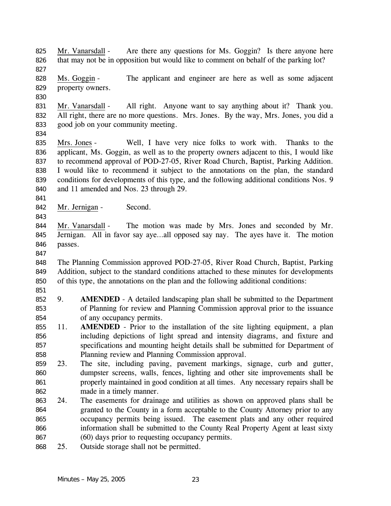Mr. Vanarsdall - Are there any questions for Ms. Goggin? Is there anyone here that may not be in opposition but would like to comment on behalf of the parking lot? 825 826 827

Ms. Goggin - The applicant and engineer are here as well as some adjacent property owners. 828 829

830

834

Mr. Vanarsdall - All right. Anyone want to say anything about it? Thank you. All right, there are no more questions. Mrs. Jones. By the way, Mrs. Jones, you did a good job on your community meeting. 831 832 833

Mrs. Jones - Well, I have very nice folks to work with. Thanks to the applicant, Ms. Goggin, as well as to the property owners adjacent to this, I would like to recommend approval of POD-27-05, River Road Church, Baptist, Parking Addition. I would like to recommend it subject to the annotations on the plan, the standard conditions for developments of this type, and the following additional conditions Nos. 9 and 11 amended and Nos. 23 through 29. 835 836 837 838 839 840

841

843

842 Mr. Jernigan - Second.

Mr. Vanarsdall - The motion was made by Mrs. Jones and seconded by Mr. Jernigan. All in favor say aye…all opposed say nay. The ayes have it. The motion passes. 844 845 846

847

848 849 850 The Planning Commission approved POD-27-05, River Road Church, Baptist, Parking Addition, subject to the standard conditions attached to these minutes for developments of this type, the annotations on the plan and the following additional conditions:

- 851
- 852 853 854 9. **AMENDED** - A detailed landscaping plan shall be submitted to the Department of Planning for review and Planning Commission approval prior to the issuance of any occupancy permits.
- 855 856 857 858 11. **AMENDED** - Prior to the installation of the site lighting equipment, a plan including depictions of light spread and intensity diagrams, and fixture and specifications and mounting height details shall be submitted for Department of Planning review and Planning Commission approval.
- 859 860 861 862 23. The site, including paving, pavement markings, signage, curb and gutter, dumpster screens, walls, fences, lighting and other site improvements shall be properly maintained in good condition at all times. Any necessary repairs shall be made in a timely manner.
- 863 864 865 866 867 24. The easements for drainage and utilities as shown on approved plans shall be granted to the County in a form acceptable to the County Attorney prior to any occupancy permits being issued. The easement plats and any other required information shall be submitted to the County Real Property Agent at least sixty (60) days prior to requesting occupancy permits.
- 868 25. Outside storage shall not be permitted.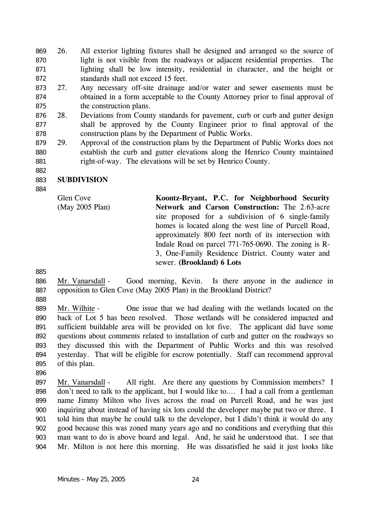26. All exterior lighting fixtures shall be designed and arranged so the source of light is not visible from the roadways or adjacent residential properties. The lighting shall be low intensity, residential in character, and the height or standards shall not exceed 15 feet. 869 870 871 872

- 873 874 875 27. Any necessary off-site drainage and/or water and sewer easements must be obtained in a form acceptable to the County Attorney prior to final approval of the construction plans.
- 876 877 878 28. Deviations from County standards for pavement, curb or curb and gutter design shall be approved by the County Engineer prior to final approval of the construction plans by the Department of Public Works.
- 879 880 881 29. Approval of the construction plans by the Department of Public Works does not establish the curb and gutter elevations along the Henrico County maintained right-of-way. The elevations will be set by Henrico County.

#### 883 **SUBDIVISION**

Glen Cove (May 2005 Plan)

**Koontz-Bryant, P.C. for Neighborhood Security Network and Carson Construction:** The 2.63-acre site proposed for a subdivision of 6 single-family homes is located along the west line of Purcell Road, approximately 800 feet north of its intersection with Indale Road on parcel 771-765-0690. The zoning is R-3, One-Family Residence District. County water and sewer. **(Brookland) 6 Lots** 

885

882

884

- Mr. Vanarsdall Good morning, Kevin. Is there anyone in the audience in opposition to Glen Cove (May 2005 Plan) in the Brookland District? 886 887
- 888

Mr. Wilhite - One issue that we had dealing with the wetlands located on the back of Lot 5 has been resolved. Those wetlands will be considered impacted and sufficient buildable area will be provided on lot five. The applicant did have some questions about comments related to installation of curb and gutter on the roadways so they discussed this with the Department of Public Works and this was resolved yesterday. That will be eligible for escrow potentially. Staff can recommend approval of this plan. 889 890 891 892 893 894 895

896

Mr. Vanarsdall - All right. Are there any questions by Commission members? I don't need to talk to the applicant, but I would like to…. I had a call from a gentleman name Jimmy Milton who lives across the road on Purcell Road, and he was just inquiring about instead of having six lots could the developer maybe put two or three. I told him that maybe he could talk to the developer, but I didn't think it would do any good because this was zoned many years ago and no conditions and everything that this man want to do is above board and legal. And, he said he understood that. I see that Mr. Milton is not here this morning. He was dissatisfied he said it just looks like 897 898 899 900 901 902 903 904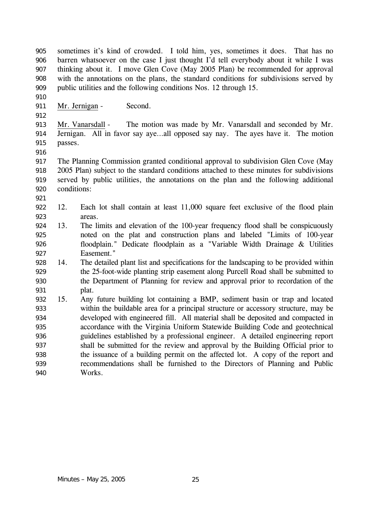sometimes it's kind of crowded. I told him, yes, sometimes it does. That has no barren whatsoever on the case I just thought I'd tell everybody about it while I was thinking about it. I move Glen Cove (May 2005 Plan) be recommended for approval with the annotations on the plans, the standard conditions for subdivisions served by public utilities and the following conditions Nos. 12 through 15. 905 906 907 908 909

- 911 Mr. Jernigan Second.
- 912

910

Mr. Vanarsdall - The motion was made by Mr. Vanarsdall and seconded by Mr. Jernigan. All in favor say aye…all opposed say nay. The ayes have it. The motion passes. 913 914 915

916

921

917 918 919 920 The Planning Commission granted conditional approval to subdivision Glen Cove (May 2005 Plan) subject to the standard conditions attached to these minutes for subdivisions served by public utilities, the annotations on the plan and the following additional conditions:

- 922 923 12. Each lot shall contain at least 11,000 square feet exclusive of the flood plain areas.
- 924 925 926 927 13. The limits and elevation of the 100-year frequency flood shall be conspicuously noted on the plat and construction plans and labeled "Limits of 100-year floodplain." Dedicate floodplain as a "Variable Width Drainage & Utilities Easement."
- 928 929 930 931 14. The detailed plant list and specifications for the landscaping to be provided within the 25-foot-wide planting strip easement along Purcell Road shall be submitted to the Department of Planning for review and approval prior to recordation of the plat.
- 932 933 934 935 936 937 938 939 940 15. Any future building lot containing a BMP, sediment basin or trap and located within the buildable area for a principal structure or accessory structure, may be developed with engineered fill. All material shall be deposited and compacted in accordance with the Virginia Uniform Statewide Building Code and geotechnical guidelines established by a professional engineer. A detailed engineering report shall be submitted for the review and approval by the Building Official prior to the issuance of a building permit on the affected lot. A copy of the report and recommendations shall be furnished to the Directors of Planning and Public Works.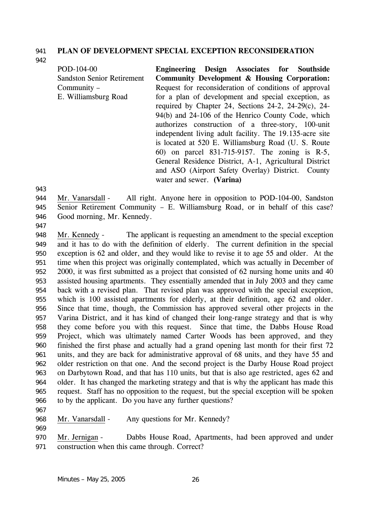### 941 **PLAN OF DEVELOPMENT SPECIAL EXCEPTION RECONSIDERATION**

942

POD-104-00 Sandston Senior Retirement Community – E. Williamsburg Road **Engineering Design Associates for Southside Community Development & Housing Corporation:**  Request for reconsideration of conditions of approval for a plan of development and special exception, as required by Chapter 24, Sections 24-2, 24-29(c), 24- 94(b) and 24-106 of the Henrico County Code, which authorizes construction of a three-story, 100-unit independent living adult facility. The 19.135-acre site is located at 520 E. Williamsburg Road (U. S. Route 60) on parcel 831-715-9157. The zoning is R-5, General Residence District, A-1, Agricultural District and ASO (Airport Safety Overlay) District. County water and sewer. **(Varina)** 

943

Mr. Vanarsdall - All right. Anyone here in opposition to POD-104-00, Sandston Senior Retirement Community – E. Williamsburg Road, or in behalf of this case? Good morning, Mr. Kennedy. 944 945 946

947

Mr. Kennedy - The applicant is requesting an amendment to the special exception and it has to do with the definition of elderly. The current definition in the special exception is 62 and older, and they would like to revise it to age 55 and older. At the time when this project was originally contemplated, which was actually in December of 2000, it was first submitted as a project that consisted of 62 nursing home units and 40 assisted housing apartments. They essentially amended that in July 2003 and they came back with a revised plan. That revised plan was approved with the special exception, which is 100 assisted apartments for elderly, at their definition, age 62 and older. Since that time, though, the Commission has approved several other projects in the Varina District, and it has kind of changed their long-range strategy and that is why they come before you with this request. Since that time, the Dabbs House Road Project, which was ultimately named Carter Woods has been approved, and they finished the first phase and actually had a grand opening last month for their first 72 units, and they are back for administrative approval of 68 units, and they have 55 and older restriction on that one. And the second project is the Darby House Road project on Darbytown Road, and that has 110 units, but that is also age restricted, ages 62 and older. It has changed the marketing strategy and that is why the applicant has made this request. Staff has no opposition to the request, but the special exception will be spoken to by the applicant. Do you have any further questions? 948 949 950 951 952 953 954 955 956 957 958 959 960 961 962 963 964 965 966

- 967
- 968 Mr. Vanarsdall Any questions for Mr. Kennedy?
- 969

Mr. Jernigan - Dabbs House Road, Apartments, had been approved and under construction when this came through. Correct? 970 971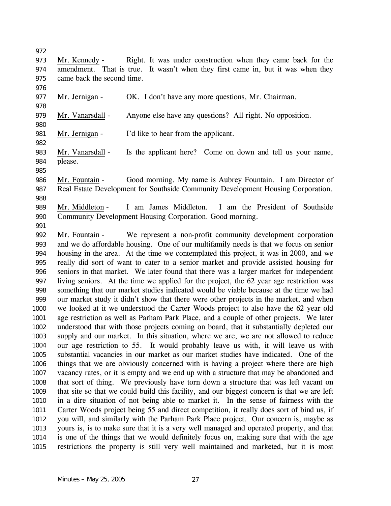| 973          | Right. It was under construction when they came back for the<br>Mr. Kennedy -                                                                                                        |
|--------------|--------------------------------------------------------------------------------------------------------------------------------------------------------------------------------------|
| 974          | amendment. That is true. It wasn't when they first came in, but it was when they                                                                                                     |
| 975          | came back the second time.                                                                                                                                                           |
| 976          |                                                                                                                                                                                      |
| 977          | Mr. Jernigan -<br>OK. I don't have any more questions, Mr. Chairman.                                                                                                                 |
| 978          |                                                                                                                                                                                      |
| 979          | Anyone else have any questions? All right. No opposition.<br>Mr. Vanarsdall -                                                                                                        |
| 980          |                                                                                                                                                                                      |
| 981          | Mr. Jernigan -<br>I'd like to hear from the applicant.                                                                                                                               |
| 982          |                                                                                                                                                                                      |
| 983          | Is the applicant here? Come on down and tell us your name,<br>Mr. Vanarsdall -                                                                                                       |
| 984          | please.                                                                                                                                                                              |
| 985          |                                                                                                                                                                                      |
| 986          | Good morning. My name is Aubrey Fountain. I am Director of<br>Mr. Fountain -                                                                                                         |
| 987          | Real Estate Development for Southside Community Development Housing Corporation.                                                                                                     |
| 988          |                                                                                                                                                                                      |
| 989          | I am James Middleton. I am the President of Southside<br>Mr. Middleton -                                                                                                             |
| 990          | Community Development Housing Corporation. Good morning.                                                                                                                             |
| 991          |                                                                                                                                                                                      |
| 992          | We represent a non-profit community development corporation<br>Mr. Fountain -                                                                                                        |
| 993          | and we do affordable housing. One of our multifamily needs is that we focus on senior                                                                                                |
| 994          | housing in the area. At the time we contemplated this project, it was in 2000, and we                                                                                                |
| 995          | really did sort of want to cater to a senior market and provide assisted housing for                                                                                                 |
| 996          | seniors in that market. We later found that there was a larger market for independent                                                                                                |
| 997          | living seniors. At the time we applied for the project, the 62 year age restriction was                                                                                              |
| 998          | something that our market studies indicated would be viable because at the time we had                                                                                               |
| 999          | our market study it didn't show that there were other projects in the market, and when                                                                                               |
| 1000         | we looked at it we understood the Carter Woods project to also have the 62 year old                                                                                                  |
| 1001         | age restriction as well as Parham Park Place, and a couple of other projects. We later                                                                                               |
| 1002         | understood that with those projects coming on board, that it substantially depleted our                                                                                              |
| 1003         | supply and our market. In this situation, where we are, we are not allowed to reduce                                                                                                 |
| 1004         | our age restriction to 55. It would probably leave us with, it will leave us with                                                                                                    |
| 1005         | substantial vacancies in our market as our market studies have indicated. One of the                                                                                                 |
| 1006         | things that we are obviously concerned with is having a project where there are high                                                                                                 |
| 1007         | vacancy rates, or it is empty and we end up with a structure that may be abandoned and<br>that sort of thing. We previously have torn down a structure that was left vacant on       |
| 1008         |                                                                                                                                                                                      |
| 1009<br>1010 | that site so that we could build this facility, and our biggest concern is that we are left<br>in a dire situation of not being able to market it. In the sense of fairness with the |
| 1011         | Carter Woods project being 55 and direct competition, it really does sort of bind us, if                                                                                             |
| 1012         | you will, and similarly with the Parham Park Place project. Our concern is, maybe as                                                                                                 |
| 1013         | yours is, is to make sure that it is a very well managed and operated property, and that                                                                                             |
| 1014         | is one of the things that we would definitely focus on, making sure that with the age                                                                                                |
| 1015         | restrictions the property is still very well maintained and marketed, but it is most                                                                                                 |
|              |                                                                                                                                                                                      |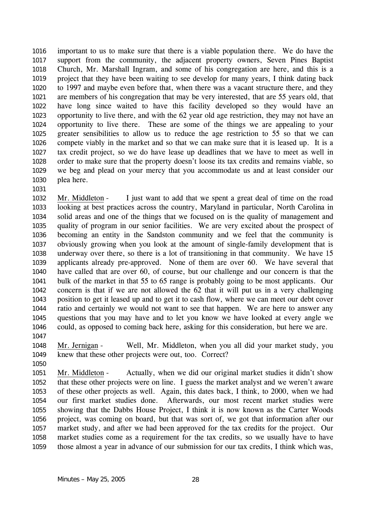important to us to make sure that there is a viable population there. We do have the support from the community, the adjacent property owners, Seven Pines Baptist Church, Mr. Marshall Ingram, and some of his congregation are here, and this is a project that they have been waiting to see develop for many years, I think dating back to 1997 and maybe even before that, when there was a vacant structure there, and they are members of his congregation that may be very interested, that are 55 years old, that have long since waited to have this facility developed so they would have an opportunity to live there, and with the 62 year old age restriction, they may not have an opportunity to live there. These are some of the things we are appealing to your greater sensibilities to allow us to reduce the age restriction to 55 so that we can compete viably in the market and so that we can make sure that it is leased up. It is a tax credit project, so we do have lease up deadlines that we have to meet as well in order to make sure that the property doesn't loose its tax credits and remains viable, so we beg and plead on your mercy that you accommodate us and at least consider our plea here. 1016 1017 1018 1019 1020 1021 1022 1023 1024 1025 1026 1027 1028 1029 1030

Mr. Middleton - I just want to add that we spent a great deal of time on the road looking at best practices across the country, Maryland in particular, North Carolina in solid areas and one of the things that we focused on is the quality of management and quality of program in our senior facilities. We are very excited about the prospect of becoming an entity in the Sandston community and we feel that the community is obviously growing when you look at the amount of single-family development that is underway over there, so there is a lot of transitioning in that community. We have 15 applicants already pre-approved. None of them are over 60. We have several that have called that are over 60, of course, but our challenge and our concern is that the bulk of the market in that 55 to 65 range is probably going to be most applicants. Our concern is that if we are not allowed the 62 that it will put us in a very challenging position to get it leased up and to get it to cash flow, where we can meet our debt cover ratio and certainly we would not want to see that happen. We are here to answer any questions that you may have and to let you know we have looked at every angle we could, as opposed to coming back here, asking for this consideration, but here we are. 1032 1033 1034 1035 1036 1037 1038 1039 1040 1041 1042 1043 1044 1045 1046 1047

Mr. Jernigan - Well, Mr. Middleton, when you all did your market study, you knew that these other projects were out, too. Correct? 1048 1049

1050

1031

Mr. Middleton - Actually, when we did our original market studies it didn't show that these other projects were on line. I guess the market analyst and we weren't aware of these other projects as well. Again, this dates back, I think, to 2000, when we had our first market studies done. Afterwards, our most recent market studies were showing that the Dabbs House Project, I think it is now known as the Carter Woods project, was coming on board, but that was sort of, we got that information after our market study, and after we had been approved for the tax credits for the project. Our market studies come as a requirement for the tax credits, so we usually have to have those almost a year in advance of our submission for our tax credits, I think which was, 1051 1052 1053 1054 1055 1056 1057 1058 1059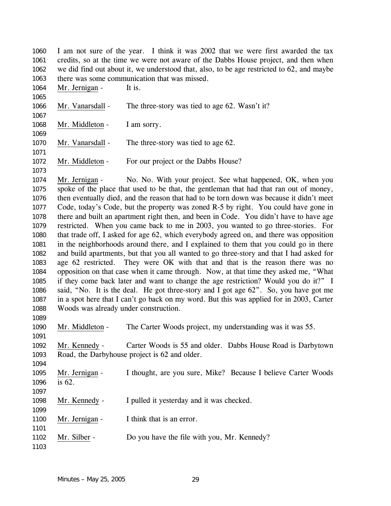I am not sure of the year. I think it was 2002 that we were first awarded the tax credits, so at the time we were not aware of the Dabbs House project, and then when we did find out about it, we understood that, also, to be age restricted to 62, and maybe there was some communication that was missed. 1060 1061 1062 1063

1064 Mr. Jernigan - It is.

1066 Mr. Vanarsdall - The three-story was tied to age 62. Wasn't it? 1067

1068 Mr. Middleton - I am sorry. 1069

1070 Mr. Vanarsdall - The three-story was tied to age 62.

1072 Mr. Middleton - For our project or the Dabbs House?

Mr. Jernigan - No. No. With your project. See what happened, OK, when you spoke of the place that used to be that, the gentleman that had that ran out of money, then eventually died, and the reason that had to be torn down was because it didn't meet Code, today's Code, but the property was zoned R-5 by right. You could have gone in there and built an apartment right then, and been in Code. You didn't have to have age restricted. When you came back to me in 2003, you wanted to go three-stories. For that trade off, I asked for age 62, which everybody agreed on, and there was opposition in the neighborhoods around there, and I explained to them that you could go in there and build apartments, but that you all wanted to go three-story and that I had asked for age 62 restricted. They were OK with that and that is the reason there was no opposition on that case when it came through. Now, at that time they asked me, "What if they come back later and want to change the age restriction? Would you do it?" I said, "No. It is the deal. He got three-story and I got age 62". So, you have got me in a spot here that I can't go back on my word. But this was applied for in 2003, Carter Woods was already under construction. 1074 1075 1076 1077 1078 1079 1080 1081 1082 1083 1084 1085 1086 1087 1088

1089

1091

1094

1065

1071

1073

1090 Mr. Middleton - The Carter Woods project, my understanding was it was 55.

Mr. Kennedy - Carter Woods is 55 and older. Dabbs House Road is Darbytown Road, the Darbyhouse project is 62 and older. 1092 1093

Mr. Jernigan - I thought, are you sure, Mike? Because I believe Carter Woods is 62. 1095 1096 1097

1098 Mr. Kennedy - I pulled it yesterday and it was checked.

1100 Mr. Jernigan - I think that is an error.

1102 Mr. Silber - Do you have the file with you, Mr. Kennedy?

1103

1099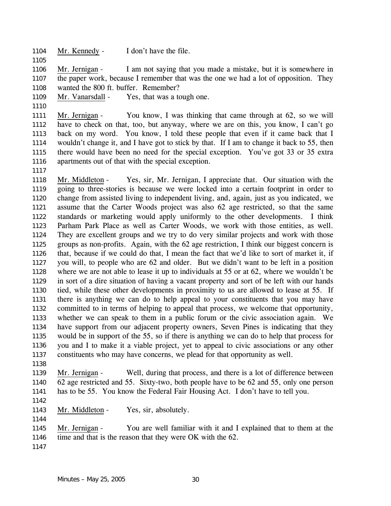1104 Mr. Kennedy - I don't have the file.

1105

Mr. Jernigan - I am not saying that you made a mistake, but it is somewhere in the paper work, because I remember that was the one we had a lot of opposition. They wanted the 800 ft. buffer. Remember? 1106 1107 1108

1109 Mr. Vanarsdall - Yes, that was a tough one.

1110

Mr. Jernigan - You know, I was thinking that came through at 62, so we will have to check on that, too, but anyway, where we are on this, you know, I can't go back on my word. You know, I told these people that even if it came back that I wouldn't change it, and I have got to stick by that. If I am to change it back to 55, then there would have been no need for the special exception. You've got 33 or 35 extra apartments out of that with the special exception. 1111 1112 1113 1114 1115 1116

1117

Mr. Middleton - Yes, sir, Mr. Jernigan, I appreciate that. Our situation with the going to three-stories is because we were locked into a certain footprint in order to change from assisted living to independent living, and, again, just as you indicated, we assume that the Carter Woods project was also 62 age restricted, so that the same standards or marketing would apply uniformly to the other developments. I think Parham Park Place as well as Carter Woods, we work with those entities, as well. They are excellent groups and we try to do very similar projects and work with those groups as non-profits. Again, with the 62 age restriction, I think our biggest concern is that, because if we could do that, I mean the fact that we'd like to sort of market it, if you will, to people who are 62 and older. But we didn't want to be left in a position where we are not able to lease it up to individuals at 55 or at 62, where we wouldn't be in sort of a dire situation of having a vacant property and sort of be left with our hands tied, while these other developments in proximity to us are allowed to lease at 55. If there is anything we can do to help appeal to your constituents that you may have committed to in terms of helping to appeal that process, we welcome that opportunity, whether we can speak to them in a public forum or the civic association again. We have support from our adjacent property owners, Seven Pines is indicating that they would be in support of the 55, so if there is anything we can do to help that process for you and I to make it a viable project, yet to appeal to civic associations or any other constituents who may have concerns, we plead for that opportunity as well. 1118 1119 1120 1121 1122 1123 1124 1125 1126 1127 1128 1129 1130 1131 1132 1133 1134 1135 1136 1137

1138

Mr. Jernigan - Well, during that process, and there is a lot of difference between 62 age restricted and 55. Sixty-two, both people have to be 62 and 55, only one person has to be 55. You know the Federal Fair Housing Act. I don't have to tell you. 1139 1140 1141

1142

1144

1143 Mr. Middleton - Yes, sir, absolutely.

Mr. Jernigan - You are well familiar with it and I explained that to them at the time and that is the reason that they were OK with the 62. 1145 1146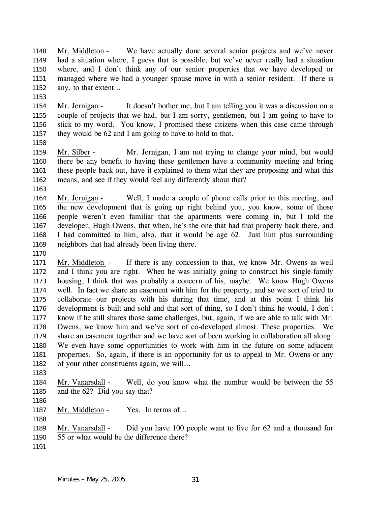Mr. Middleton - We have actually done several senior projects and we've never had a situation where, I guess that is possible, but we've never really had a situation where, and I don't think any of our senior properties that we have developed or managed where we had a younger spouse move in with a senior resident. If there is any, to that extent… 1148 1149 1150 1151 1152

1153

Mr. Jernigan - It doesn't bother me, but I am telling you it was a discussion on a couple of projects that we had, but I am sorry, gentlemen, but I am going to have to stick to my word. You know, I promised these citizens when this case came through they would be 62 and I am going to have to hold to that. 1154 1155 1156 1157

1158

1163

Mr. Silber - Mr. Jernigan, I am not trying to change your mind, but would there be any benefit to having these gentlemen have a community meeting and bring these people back out, have it explained to them what they are proposing and what this means, and see if they would feel any differently about that? 1159 1160 1161 1162

Mr. Jernigan - Well, I made a couple of phone calls prior to this meeting, and the new development that is going up right behind you, you know, some of those people weren't even familiar that the apartments were coming in, but I told the developer, Hugh Owens, that when, he's the one that had that property back there, and I had committed to him, also, that it would be age 62. Just him plus surrounding neighbors that had already been living there. 1164 1165 1166 1167 1168 1169

1170

Mr. Middleton - If there is any concession to that, we know Mr. Owens as well and I think you are right. When he was initially going to construct his single-family housing, I think that was probably a concern of his, maybe. We know Hugh Owens well. In fact we share an easement with him for the property, and so we sort of tried to collaborate our projects with his during that time, and at this point I think his development is built and sold and that sort of thing, so I don't think he would, I don't know if he still shares those same challenges, but, again, if we are able to talk with Mr. Owens, we know him and we've sort of co-developed almost. These properties. We share an easement together and we have sort of been working in collaboration all along. We even have some opportunities to work with him in the future on some adjacent properties. So, again, if there is an opportunity for us to appeal to Mr. Owens or any of your other constituents again, we will… 1171 1172 1173 1174 1175 1176 1177 1178 1179 1180 1181 1182

1183

Mr. Vanarsdall - Well, do you know what the number would be between the 55 and the 62? Did you say that? 1184 1185

1186

1188

1187 Mr. Middleton - Yes. In terms of...

Mr. Vanarsdall - Did you have 100 people want to live for 62 and a thousand for 55 or what would be the difference there? 1189 1190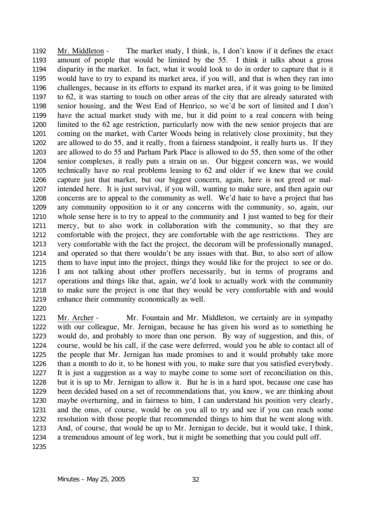Mr. Middleton - The market study, I think, is, I don't know if it defines the exact amount of people that would be limited by the 55. I think it talks about a gross disparity in the market. In fact, what it would look to do in order to capture that is it would have to try to expand its market area, if you will, and that is when they ran into challenges, because in its efforts to expand its market area, if it was going to be limited to 62, it was starting to touch on other areas of the city that are already saturated with senior housing, and the West End of Henrico, so we'd be sort of limited and I don't have the actual market study with me, but it did point to a real concern with being limited to the 62 age restriction, particularly now with the new senior projects that are coming on the market, with Carter Woods being in relatively close proximity, but they are allowed to do 55, and it really, from a fairness standpoint, it really hurts us. If they are allowed to do 55 and Parham Park Place is allowed to do 55, then some of the other senior complexes, it really puts a strain on us. Our biggest concern was, we would technically have no real problems leasing to 62 and older if we knew that we could capture just that market, but our biggest concern, again, here is not greed or malintended here. It is just survival, if you will, wanting to make sure, and then again our concerns are to appeal to the community as well. We'd hate to have a project that has any community opposition to it or any concerns with the community, so, again, our whole sense here is to try to appeal to the community and I just wanted to beg for their mercy, but to also work in collaboration with the community, so that they are comfortable with the project, they are comfortable with the age restrictions. They are very comfortable with the fact the project, the decorum will be professionally managed, and operated so that there wouldn't be any issues with that. But, to also sort of allow them to have input into the project, things they would like for the project to see or do. I am not talking about other proffers necessarily, but in terms of programs and operations and things like that, again, we'd look to actually work with the community to make sure the project is one that they would be very comfortable with and would enhance their community economically as well. 1192 1193 1194 1195 1196 1197 1198 1199 1200 1201 1202 1203 1204 1205 1206 1207 1208 1209 1210 1211 1212 1213 1214 1215 1216 1217 1218 1219

1220

Mr. Archer - Mr. Fountain and Mr. Middleton, we certainly are in sympathy with our colleague, Mr. Jernigan, because he has given his word as to something he would do, and probably to more than one person. By way of suggestion, and this, of course, would be his call, if the case were deferred, would you be able to contact all of the people that Mr. Jernigan has made promises to and it would probably take more than a month to do it, to be honest with you, to make sure that you satisfied everybody. It is just a suggestion as a way to maybe come to some sort of reconciliation on this, but it is up to Mr. Jernigan to allow it. But he is in a hard spot, because one case has been decided based on a set of recommendations that, you know, we are thinking about maybe overturning, and in fairness to him, I can understand his position very clearly, and the onus, of course, would be on you all to try and see if you can reach some resolution with those people that recommended things to him that he went along with. And, of course, that would be up to Mr. Jernigan to decide, but it would take, I think, a tremendous amount of leg work, but it might be something that you could pull off. 1221 1222 1223 1224 1225 1226 1227 1228 1229 1230 1231 1232 1233 1234 1235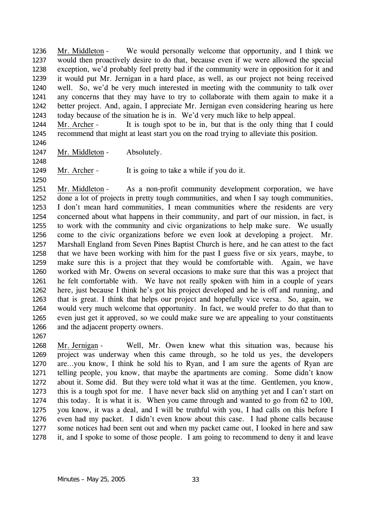Mr. Middleton - We would personally welcome that opportunity, and I think we would then proactively desire to do that, because even if we were allowed the special exception, we'd probably feel pretty bad if the community were in opposition for it and it would put Mr. Jernigan in a hard place, as well, as our project not being received well. So, we'd be very much interested in meeting with the community to talk over any concerns that they may have to try to collaborate with them again to make it a better project. And, again, I appreciate Mr. Jernigan even considering hearing us here today because of the situation he is in. We'd very much like to help appeal. 1236 1237 1238 1239 1240 1241 1242 1243

Mr. Archer - It is tough spot to be in, but that is the only thing that I could recommend that might at least start you on the road trying to alleviate this position. 1244 1245

1246

1248

1250

1267

1247 Mr. Middleton - Absolutely.

1249 Mr. Archer - It is going to take a while if you do it.

Mr. Middleton - As a non-profit community development corporation, we have done a lot of projects in pretty tough communities, and when I say tough communities, I don't mean hard communities, I mean communities where the residents are very concerned about what happens in their community, and part of our mission, in fact, is to work with the community and civic organizations to help make sure. We usually come to the civic organizations before we even look at developing a project. Mr. Marshall England from Seven Pines Baptist Church is here, and he can attest to the fact that we have been working with him for the past I guess five or six years, maybe, to make sure this is a project that they would be comfortable with. Again, we have worked with Mr. Owens on several occasions to make sure that this was a project that he felt comfortable with. We have not really spoken with him in a couple of years here, just because I think he's got his project developed and he is off and running, and that is great. I think that helps our project and hopefully vice versa. So, again, we would very much welcome that opportunity. In fact, we would prefer to do that than to even just get it approved, so we could make sure we are appealing to your constituents and the adjacent property owners. 1251 1252 1253 1254 1255 1256 1257 1258 1259 1260 1261 1262 1263 1264 1265 1266

Mr. Jernigan - Well, Mr. Owen knew what this situation was, because his project was underway when this came through, so he told us yes, the developers are…you know, I think he sold his to Ryan, and I am sure the agents of Ryan are telling people, you know, that maybe the apartments are coming. Some didn't know about it. Some did. But they were told what it was at the time. Gentlemen, you know, this is a tough spot for me. I have never back slid on anything yet and I can't start on this today. It is what it is. When you came through and wanted to go from 62 to 100, you know, it was a deal, and I will be truthful with you, I had calls on this before I even had my packet. I didn't even know about this case. I had phone calls because some notices had been sent out and when my packet came out, I looked in here and saw it, and I spoke to some of those people. I am going to recommend to deny it and leave 1268 1269 1270 1271 1272 1273 1274 1275 1276 1277 1278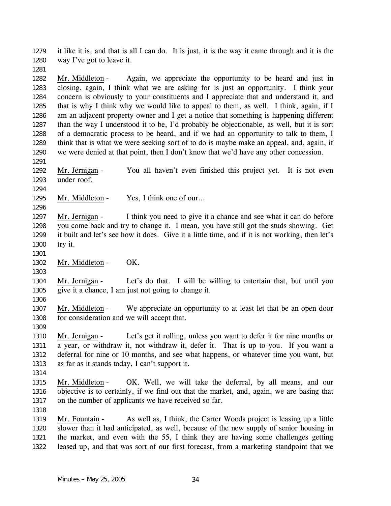it like it is, and that is all I can do. It is just, it is the way it came through and it is the way I've got to leave it. 1279 1280

1281

Mr. Middleton - Again, we appreciate the opportunity to be heard and just in closing, again, I think what we are asking for is just an opportunity. I think your concern is obviously to your constituents and I appreciate that and understand it, and that is why I think why we would like to appeal to them, as well. I think, again, if I am an adjacent property owner and I get a notice that something is happening different than the way I understood it to be, I'd probably be objectionable, as well, but it is sort of a democratic process to be heard, and if we had an opportunity to talk to them, I think that is what we were seeking sort of to do is maybe make an appeal, and, again, if we were denied at that point, then I don't know that we'd have any other concession. 1282 1283 1284 1285 1286 1287 1288 1289 1290

Mr. Jernigan - You all haven't even finished this project yet. It is not even under roof. 1292 1293

1294

1296

1291

1295 Mr. Middleton - Yes, I think one of our...

Mr. Jernigan - I think you need to give it a chance and see what it can do before you come back and try to change it. I mean, you have still got the studs showing. Get it built and let's see how it does. Give it a little time, and if it is not working, then let's try it. 1297 1298 1299 1300

1301

1303

1302 Mr. Middleton - OK.

Mr. Jernigan - Let's do that. I will be willing to entertain that, but until you give it a chance, I am just not going to change it. 1304 1305

1306

Mr. Middleton - We appreciate an opportunity to at least let that be an open door for consideration and we will accept that. 1307 1308

1309

Mr. Jernigan - Let's get it rolling, unless you want to defer it for nine months or a year, or withdraw it, not withdraw it, defer it. That is up to you. If you want a deferral for nine or 10 months, and see what happens, or whatever time you want, but as far as it stands today, I can't support it. 1310 1311 1312 1313

1314

Mr. Middleton - OK. Well, we will take the deferral, by all means, and our objective is to certainly, if we find out that the market, and, again, we are basing that on the number of applicants we have received so far. 1315 1316 1317

1318

Mr. Fountain - As well as, I think, the Carter Woods project is leasing up a little slower than it had anticipated, as well, because of the new supply of senior housing in the market, and even with the 55, I think they are having some challenges getting leased up, and that was sort of our first forecast, from a marketing standpoint that we 1319 1320 1321 1322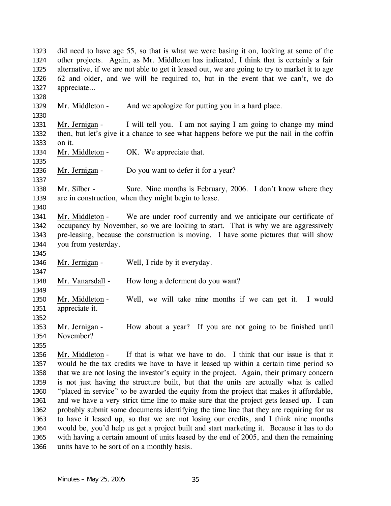did need to have age 55, so that is what we were basing it on, looking at some of the other projects. Again, as Mr. Middleton has indicated, I think that is certainly a fair alternative, if we are not able to get it leased out, we are going to try to market it to age 62 and older, and we will be required to, but in the event that we can't, we do appreciate… 1323 1324 1325 1326 1327 1328 1329 Mr. Middleton - And we apologize for putting you in a hard place. 1330 Mr. Jernigan - I will tell you. I am not saying I am going to change my mind then, but let's give it a chance to see what happens before we put the nail in the coffin on it. 1331 1332 1333 1334 Mr. Middleton - OK. We appreciate that. 1335 1336 Mr. Jernigan - Do you want to defer it for a year? 1337 Mr. Silber - Sure. Nine months is February, 2006. I don't know where they are in construction, when they might begin to lease. 1338 1339 1340 Mr. Middleton - We are under roof currently and we anticipate our certificate of occupancy by November, so we are looking to start. That is why we are aggressively pre-leasing, because the construction is moving. I have some pictures that will show you from yesterday. 1341 1342 1343 1344 1345 1346 Mr. Jernigan - Well, I ride by it everyday. 1347 1348 Mr. Vanarsdall - How long a deferment do you want? 1349 Mr. Middleton - Well, we will take nine months if we can get it. I would appreciate it. 1350 1351 1352 Mr. Jernigan - How about a year? If you are not going to be finished until November? 1353 1354 1355 Mr. Middleton - If that is what we have to do. I think that our issue is that it would be the tax credits we have to have it leased up within a certain time period so that we are not losing the investor's equity in the project. Again, their primary concern is not just having the structure built, but that the units are actually what is called "placed in service" to be awarded the equity from the project that makes it affordable, and we have a very strict time line to make sure that the project gets leased up. I can probably submit some documents identifying the time line that they are requiring for us to have it leased up, so that we are not losing our credits, and I think nine months would be, you'd help us get a project built and start marketing it. Because it has to do 1356 1357 1358 1359 1360 1361 1362 1363 1364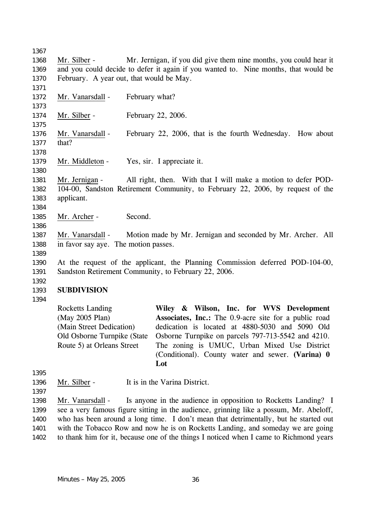1367 Mr. Silber - Mr. Jernigan, if you did give them nine months, you could hear it and you could decide to defer it again if you wanted to. Nine months, that would be February. A year out, that would be May. 1368 1369 1370 1371 1372 Mr. Vanarsdall - February what? 1373 1374 Mr. Silber - February 22, 2006. 1375 Mr. Vanarsdall - February 22, 2006, that is the fourth Wednesday. How about that? 1376 1377 1378 1379 Mr. Middleton - Yes, sir. I appreciate it. 1380 Mr. Jernigan - All right, then. With that I will make a motion to defer POD-104-00, Sandston Retirement Community, to February 22, 2006, by request of the applicant. 1381 1382 1383 1384 1385 Mr. Archer - Second. 1386 Mr. Vanarsdall - Motion made by Mr. Jernigan and seconded by Mr. Archer. All in favor say aye. The motion passes. 1387 1388 1389 1390 1391 1392 1393 1394 1395 At the request of the applicant, the Planning Commission deferred POD-104-00, Sandston Retirement Community, to February 22, 2006. **SUBDIVISION**  Rocketts Landing (May 2005 Plan) (Main Street Dedication) Old Osborne Turnpike (State Route 5) at Orleans Street **Wiley & Wilson, Inc. for WVS Development Associates, Inc.:** The 0.9-acre site for a public road dedication is located at 4880-5030 and 5090 Old Osborne Turnpike on parcels 797-713-5542 and 4210. The zoning is UMUC, Urban Mixed Use District (Conditional). County water and sewer. **(Varina) 0 Lot** 

- 1396 Mr. Silber It is in the Varina District.
- 1397

Mr. Vanarsdall - Is anyone in the audience in opposition to Rocketts Landing? I see a very famous figure sitting in the audience, grinning like a possum, Mr. Abeloff, who has been around a long time. I don't mean that detrimentally, but he started out with the Tobacco Row and now he is on Rocketts Landing, and someday we are going to thank him for it, because one of the things I noticed when I came to Richmond years 1398 1399 1400 1401 1402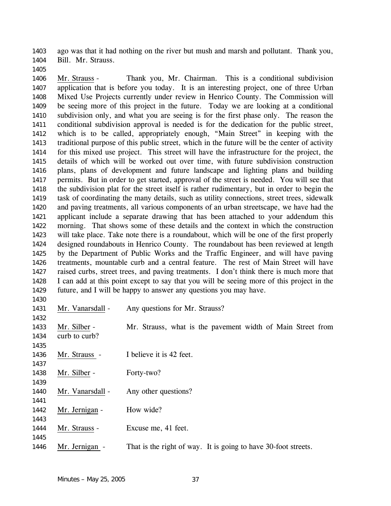ago was that it had nothing on the river but mush and marsh and pollutant. Thank you, Bill. Mr. Strauss. 1403 1404

Mr. Strauss - Thank you, Mr. Chairman. This is a conditional subdivision application that is before you today. It is an interesting project, one of three Urban Mixed Use Projects currently under review in Henrico County. The Commission will be seeing more of this project in the future. Today we are looking at a conditional subdivision only, and what you are seeing is for the first phase only. The reason the conditional subdivision approval is needed is for the dedication for the public street, which is to be called, appropriately enough, "Main Street" in keeping with the traditional purpose of this public street, which in the future will be the center of activity for this mixed use project. This street will have the infrastructure for the project, the details of which will be worked out over time, with future subdivision construction plans, plans of development and future landscape and lighting plans and building permits. But in order to get started, approval of the street is needed. You will see that the subdivision plat for the street itself is rather rudimentary, but in order to begin the task of coordinating the many details, such as utility connections, street trees, sidewalk and paving treatments, all various components of an urban streetscape, we have had the applicant include a separate drawing that has been attached to your addendum this morning. That shows some of these details and the context in which the construction will take place. Take note there is a roundabout, which will be one of the first properly designed roundabouts in Henrico County. The roundabout has been reviewed at length by the Department of Public Works and the Traffic Engineer, and will have paving treatments, mountable curb and a central feature. The rest of Main Street will have raised curbs, street trees, and paving treatments. I don't think there is much more that I can add at this point except to say that you will be seeing more of this project in the 1406 1407 1408 1409 1410 1411 1412 1413 1414 1415 1416 1417 1418 1419 1420 1421 1422 1423 1424 1425 1426 1427 1428

1405

future, and I will be happy to answer any questions you may have. 1429 1430 1431 Mr. Vanarsdall - Any questions for Mr. Strauss? 1432 Mr. Silber - Mr. Strauss, what is the pavement width of Main Street from curb to curb? 1433 1434 1435 1436 Mr. Strauss - I believe it is 42 feet. 1437 1438 Mr. Silber - Forty-two? 1439 1440 Mr. Vanarsdall - Any other questions? 1441 1442 Mr. Jernigan - How wide? 1443 1444 Mr. Strauss - Excuse me, 41 feet. 1445

1446 Mr. Jernigan - That is the right of way. It is going to have 30-foot streets.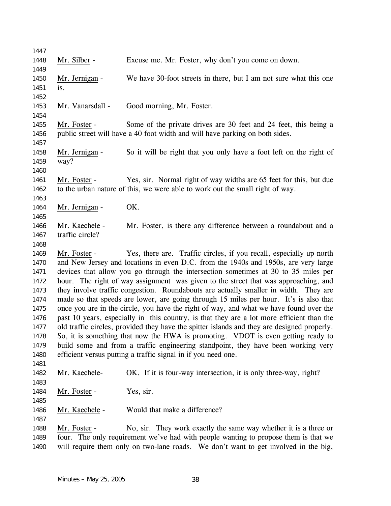| 1447         |                  |                                                                                             |
|--------------|------------------|---------------------------------------------------------------------------------------------|
| 1448         | Mr. Silber -     | Excuse me. Mr. Foster, why don't you come on down.                                          |
| 1449         |                  |                                                                                             |
| 1450         | Mr. Jernigan -   | We have 30-foot streets in there, but I am not sure what this one                           |
| 1451         | is.              |                                                                                             |
| 1452         |                  |                                                                                             |
| 1453<br>1454 | Mr. Vanarsdall - | Good morning, Mr. Foster.                                                                   |
| 1455         | Mr. Foster -     | Some of the private drives are 30 feet and 24 feet, this being a                            |
| 1456         |                  | public street will have a 40 foot width and will have parking on both sides.                |
| 1457         |                  |                                                                                             |
| 1458         | Mr. Jernigan -   | So it will be right that you only have a foot left on the right of                          |
| 1459         | way?             |                                                                                             |
| 1460         |                  |                                                                                             |
| 1461         | Mr. Foster -     | Yes, sir. Normal right of way widths are 65 feet for this, but due                          |
| 1462         |                  | to the urban nature of this, we were able to work out the small right of way.               |
| 1463         |                  |                                                                                             |
| 1464         | Mr. Jernigan -   | OK.                                                                                         |
| 1465         |                  |                                                                                             |
| 1466         | Mr. Kaechele -   | Mr. Foster, is there any difference between a roundabout and a                              |
| 1467         | traffic circle?  |                                                                                             |
| 1468         |                  |                                                                                             |
| 1469         | Mr. Foster -     | Yes, there are. Traffic circles, if you recall, especially up north                         |
| 1470         |                  | and New Jersey and locations in even D.C. from the 1940s and 1950s, are very large          |
| 1471         |                  | devices that allow you go through the intersection sometimes at 30 to 35 miles per          |
| 1472         |                  | hour. The right of way assignment was given to the street that was approaching, and         |
| 1473         |                  | they involve traffic congestion. Roundabouts are actually smaller in width. They are        |
| 1474         |                  | made so that speeds are lower, are going through 15 miles per hour. It's is also that       |
| 1475         |                  | once you are in the circle, you have the right of way, and what we have found over the      |
| 1476         |                  | past 10 years, especially in this country, is that they are a lot more efficient than the   |
| 1477         |                  | old traffic circles, provided they have the spitter islands and they are designed properly. |
| 1478         |                  | So, it is something that now the HWA is promoting. VDOT is even getting ready to            |
| 1479         |                  | build some and from a traffic engineering standpoint, they have been working very           |
| 1480         |                  | efficient versus putting a traffic signal in if you need one.                               |
| 1481         |                  |                                                                                             |
| 1482         | Mr. Kaechele-    | OK. If it is four-way intersection, it is only three-way, right?                            |
| 1483         |                  |                                                                                             |
| 1484         | Mr. Foster -     | Yes, sir.                                                                                   |
| 1485         |                  |                                                                                             |
| 1486         | Mr. Kaechele -   | Would that make a difference?                                                               |
| 1487         |                  |                                                                                             |
| 1488         | Mr. Foster -     | No, sir. They work exactly the same way whether it is a three or                            |
| 1489         |                  | four. The only requirement we've had with people wanting to propose them is that we         |
| 1490         |                  | will require them only on two-lane roads. We don't want to get involved in the big,         |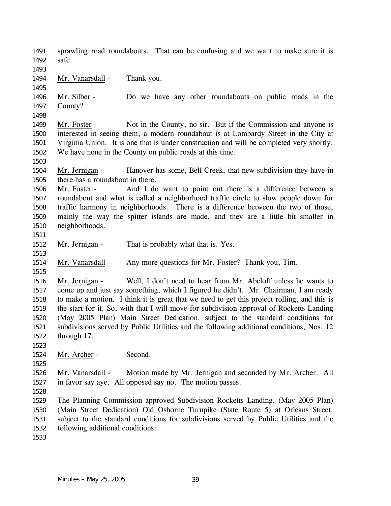sprawling road roundabouts. That can be confusing and we want to make sure it is safe. 1491 1492 1493 1494 Mr. Vanarsdall - Thank you. 1495 Mr. Silber - Do we have any other roundabouts on public roads in the County? 1496 1497 1498 Mr. Foster - Not in the County, no sir. But if the Commission and anyone is interested in seeing them, a modern roundabout is at Lombardy Street in the City at Virginia Union. It is one that is under construction and will be completed very shortly. We have none in the County on public roads at this time. 1499 1500 1501 1502 1503 Mr. Jernigan - Hanover has some, Bell Creek, that new subdivision they have in there has a roundabout in there. 1504 1505 Mr. Foster - And I do want to point out there is a difference between a roundabout and what is called a neighborhood traffic circle to slow people down for traffic harmony in neighborhoods. There is a difference between the two of those, mainly the way the spitter islands are made, and they are a little bit smaller in neighborhoods. 1506 1507 1508 1509 1510 1511 1512 Mr. Jernigan - That is probably what that is. Yes. 1513 1514 Mr. Vanarsdall - Any more questions for Mr. Foster? Thank you, Tim. 1515 Mr. Jernigan - Well, I don't need to hear from Mr. Abeloff unless he wants to come up and just say something, which I figured he didn't. Mr. Chairman, I am ready to make a motion. I think it is great that we need to get this project rolling, and this is the start for it. So, with that I will move for subdivision approval of Rocketts Landing (May 2005 Plan) Main Street Dedication, subject to the standard conditions for subdivisions served by Public Utilities and the following additional conditions, Nos. 12 through 17. 1516 1517 1518 1519 1520 1521 1522 1523 1524 Mr. Archer - Second. 1525 Mr. Vanarsdall - Motion made by Mr. Jernigan and seconded by Mr. Archer. All in favor say aye. All opposed say no. The motion passes. 1526 1527 1528 1529 1530 1531 1532 1533 The Planning Commission approved Subdivision Rocketts Landing, (May 2005 Plan) (Main Street Dedication) Old Osborne Turnpike (State Route 5) at Orleans Street, subject to the standard conditions for subdivisions served by Public Utilities and the following additional conditions: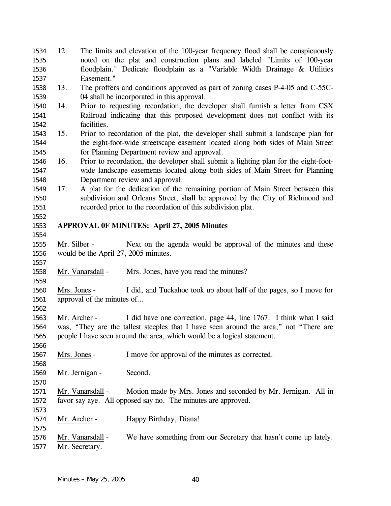| 1534 | 12.          |                            | The limits and elevation of the 100-year frequency flood shall be conspicuously       |
|------|--------------|----------------------------|---------------------------------------------------------------------------------------|
| 1535 |              |                            | noted on the plat and construction plans and labeled "Limits of 100-year              |
| 1536 |              |                            | floodplain." Dedicate floodplain as a "Variable Width Drainage & Utilities            |
| 1537 |              | Easement."                 |                                                                                       |
| 1538 | 13.          |                            | The proffers and conditions approved as part of zoning cases P-4-05 and C-55C-        |
| 1539 |              |                            | 04 shall be incorporated in this approval.                                            |
| 1540 | 14.          |                            | Prior to requesting recordation, the developer shall furnish a letter from CSX        |
| 1541 |              |                            | Railroad indicating that this proposed development does not conflict with its         |
| 1542 |              | facilities.                |                                                                                       |
| 1543 | 15.          |                            | Prior to recordation of the plat, the developer shall submit a landscape plan for     |
| 1544 |              |                            | the eight-foot-wide streetscape easement located along both sides of Main Street      |
| 1545 |              |                            | for Planning Department review and approval.                                          |
| 1546 | 16.          |                            | Prior to recordation, the developer shall submit a lighting plan for the eight-foot-  |
| 1547 |              |                            | wide landscape easements located along both sides of Main Street for Planning         |
| 1548 |              |                            | Department review and approval.                                                       |
| 1549 | 17.          |                            | A plat for the dedication of the remaining portion of Main Street between this        |
| 1550 |              |                            | subdivision and Orleans Street, shall be approved by the City of Richmond and         |
| 1551 |              |                            | recorded prior to the recordation of this subdivision plat.                           |
| 1552 |              |                            |                                                                                       |
| 1553 |              |                            | <b>APPROVAL OF MINUTES: April 27, 2005 Minutes</b>                                    |
| 1554 |              |                            |                                                                                       |
| 1555 | Mr. Silber - |                            | Next on the agenda would be approval of the minutes and these                         |
| 1556 |              |                            | would be the April 27, 2005 minutes.                                                  |
| 1557 |              |                            |                                                                                       |
| 1558 |              | Mr. Vanarsdall -           | Mrs. Jones, have you read the minutes?                                                |
| 1559 |              |                            |                                                                                       |
| 1560 | Mrs. Jones - |                            | I did, and Tuckahoe took up about half of the pages, so I move for                    |
| 1561 |              | approval of the minutes of |                                                                                       |
| 1562 |              |                            |                                                                                       |
| 1563 | Mr. Archer - |                            | I did have one correction, page 44, line 1767. I think what I said                    |
| 1564 |              |                            | was, "They are the tallest steeples that I have seen around the area," not "There are |
| 1565 |              |                            | people I have seen around the area, which would be a logical statement.               |
| 1566 |              |                            |                                                                                       |
| 1567 | Mrs. Jones - |                            | I move for approval of the minutes as corrected.                                      |
| 1568 |              |                            |                                                                                       |
| 1569 |              | Mr. Jernigan -             | Second.                                                                               |
| 1570 |              |                            |                                                                                       |
| 1571 |              | Mr. Vanarsdall -           | Motion made by Mrs. Jones and seconded by Mr. Jernigan. All in                        |
| 1572 |              |                            | favor say aye. All opposed say no. The minutes are approved.                          |
| 1573 |              |                            |                                                                                       |
| 1574 | Mr. Archer - |                            | Happy Birthday, Diana!                                                                |
| 1575 |              |                            |                                                                                       |
| 1576 |              | Mr. Vanarsdall -           | We have something from our Secretary that hasn't come up lately.                      |
| 1577 |              | Mr. Secretary.             |                                                                                       |
|      |              |                            |                                                                                       |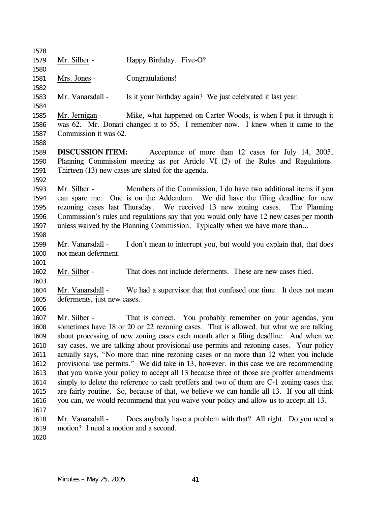| 1578         |                                       |                                                                                            |
|--------------|---------------------------------------|--------------------------------------------------------------------------------------------|
| 1579         | Mr. Silber -                          | Happy Birthday. Five-O?                                                                    |
| 1580         |                                       |                                                                                            |
| 1581         | Mrs. Jones -                          | Congratulations!                                                                           |
| 1582         |                                       |                                                                                            |
| 1583         | Mr. Vanarsdall -                      | Is it your birthday again? We just celebrated it last year.                                |
| 1584         |                                       |                                                                                            |
| 1585         | Mr. Jernigan -                        | Mike, what happened on Carter Woods, is when I put it through it                           |
| 1586         |                                       | was 62. Mr. Donati changed it to 55. I remember now. I knew when it came to the            |
| 1587         | Commission it was 62.                 |                                                                                            |
| 1588         |                                       |                                                                                            |
| 1589         | <b>DISCUSSION ITEM:</b>               | Acceptance of more than 12 cases for July 14, 2005,                                        |
| 1590         |                                       | Planning Commission meeting as per Article VI (2) of the Rules and Regulations.            |
| 1591         |                                       | Thirteen (13) new cases are slated for the agenda.                                         |
| 1592         |                                       |                                                                                            |
| 1593         | Mr. Silber -                          | Members of the Commission, I do have two additional items if you                           |
| 1594         |                                       | can spare me. One is on the Addendum. We did have the filing deadline for new              |
| 1595         |                                       | rezoning cases last Thursday. We received 13 new zoning cases. The Planning                |
| 1596         |                                       | Commission's rules and regulations say that you would only have 12 new cases per month     |
| 1597         |                                       | unless waived by the Planning Commission. Typically when we have more than                 |
| 1598         |                                       |                                                                                            |
| 1599         | Mr. Vanarsdall -                      | I don't mean to interrupt you, but would you explain that, that does                       |
| 1600         | not mean deferment.                   |                                                                                            |
| 1601         |                                       |                                                                                            |
| 1602         | Mr. Silber -                          | That does not include deferments. These are new cases filed.                               |
| 1603         |                                       |                                                                                            |
| 1604         |                                       | Mr. Vanarsdall - We had a supervisor that that confused one time. It does not mean         |
| 1605         | deferments, just new cases.           |                                                                                            |
| 1606<br>1607 | Mr. Silber -                          | That is correct. You probably remember on your agendas, you                                |
| 1608         |                                       | sometimes have 18 or 20 or 22 rezoning cases. That is allowed, but what we are talking     |
| 1609         |                                       | about processing of new zoning cases each month after a filing deadline. And when we       |
| 1610         |                                       | say cases, we are talking about provisional use permits and rezoning cases. Your policy    |
| 1611         |                                       | actually says, "No more than nine rezoning cases or no more than 12 when you include       |
| 1612         |                                       | provisional use permits." We did take in 13, however, in this case we are recommending     |
| 1613         |                                       | that you waive your policy to accept all 13 because three of those are proffer amendments  |
| 1614         |                                       | simply to delete the reference to cash proffers and two of them are C-1 zoning cases that  |
| 1615         |                                       | are fairly routine. So, because of that, we believe we can handle all 13. If you all think |
| 1616         |                                       | you can, we would recommend that you waive your policy and allow us to accept all 13.      |
| 1617         |                                       |                                                                                            |
| 1618         | Mr. Vanarsdall -                      | Does anybody have a problem with that? All right. Do you need a                            |
| 1619         | motion? I need a motion and a second. |                                                                                            |
| 1620         |                                       |                                                                                            |
|              |                                       |                                                                                            |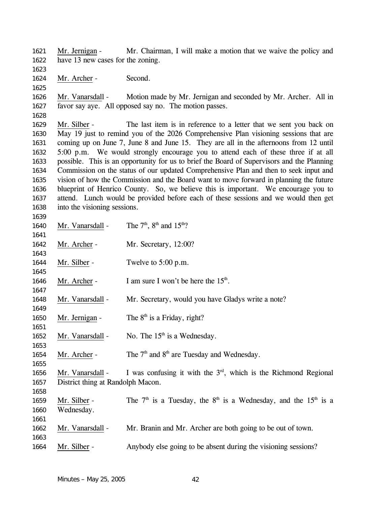Mr. Jernigan - Mr. Chairman, I will make a motion that we waive the policy and have 13 new cases for the zoning. 1621 1622

1623

1625

1624 Mr. Archer - Second.

Mr. Vanarsdall - Motion made by Mr. Jernigan and seconded by Mr. Archer. All in favor say aye. All opposed say no. The motion passes. 1626 1627

1628

1639

Mr. Silber - The last item is in reference to a letter that we sent you back on May 19 just to remind you of the 2026 Comprehensive Plan visioning sessions that are coming up on June 7, June 8 and June 15. They are all in the afternoons from 12 until 5:00 p.m. We would strongly encourage you to attend each of these three if at all possible. This is an opportunity for us to brief the Board of Supervisors and the Planning Commission on the status of our updated Comprehensive Plan and then to seek input and vision of how the Commission and the Board want to move forward in planning the future blueprint of Henrico County. So, we believe this is important. We encourage you to attend. Lunch would be provided before each of these sessions and we would then get into the visioning sessions. 1629 1630 1631 1632 1633 1634 1635 1636 1637 1638

1640 Mr. Vanarsdall - The  $7<sup>th</sup>$ ,  $8<sup>th</sup>$  and  $15<sup>th</sup>$ ? 1641 1642 Mr. Archer - Mr. Secretary, 12:00? 1643 1644 Mr. Silber - Twelve to 5:00 p.m. 1645 1646 Mr. Archer - I am sure I won't be here the  $15<sup>th</sup>$ . 1647 1648 Mr. Vanarsdall - Mr. Secretary, would you have Gladys write a note? 1649 1650 Mr. Jernigan - The  $8<sup>th</sup>$  is a Friday, right? 1651 1652 Mr. Vanarsdall - No. The  $15<sup>th</sup>$  is a Wednesday. 1653 1654 Mr. Archer - The  $7<sup>th</sup>$  and  $8<sup>th</sup>$  are Tuesday and Wednesday. 1655 Mr. Vanarsdall - I was confusing it with the  $3<sup>rd</sup>$ , which is the Richmond Regional District thing at Randolph Macon. 1656 1657 1658 Mr. Silber - The  $7<sup>th</sup>$  is a Tuesday, the  $8<sup>th</sup>$  is a Wednesday, and the  $15<sup>th</sup>$  is a Wednesday. 1659 1660 1661 1662 Mr. Vanarsdall - Mr. Branin and Mr. Archer are both going to be out of town. 1663 1664 Mr. Silber - Anybody else going to be absent during the visioning sessions?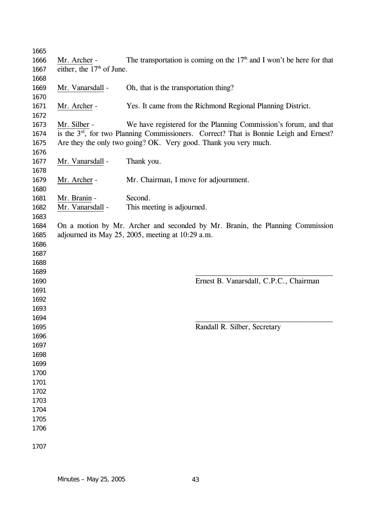| 1665         |                             |                                                                                                                                                                        |  |  |  |  |  |
|--------------|-----------------------------|------------------------------------------------------------------------------------------------------------------------------------------------------------------------|--|--|--|--|--|
| 1666         | Mr. Archer -                | The transportation is coming on the $17th$ and I won't be here for that                                                                                                |  |  |  |  |  |
| 1667         | either, the $17th$ of June. |                                                                                                                                                                        |  |  |  |  |  |
| 1668         |                             |                                                                                                                                                                        |  |  |  |  |  |
| 1669         | Mr. Vanarsdall -            | Oh, that is the transportation thing?                                                                                                                                  |  |  |  |  |  |
| 1670         |                             |                                                                                                                                                                        |  |  |  |  |  |
| 1671         | Mr. Archer -                | Yes. It came from the Richmond Regional Planning District.                                                                                                             |  |  |  |  |  |
| 1672         |                             |                                                                                                                                                                        |  |  |  |  |  |
| 1673         | Mr. Silber -                | We have registered for the Planning Commission's forum, and that                                                                                                       |  |  |  |  |  |
| 1674         |                             | is the 3 <sup>rd</sup> , for two Planning Commissioners. Correct? That is Bonnie Leigh and Ernest?<br>Are they the only two going? OK. Very good. Thank you very much. |  |  |  |  |  |
| 1675<br>1676 |                             |                                                                                                                                                                        |  |  |  |  |  |
| 1677         | Mr. Vanarsdall -            | Thank you.                                                                                                                                                             |  |  |  |  |  |
| 1678         |                             |                                                                                                                                                                        |  |  |  |  |  |
| 1679         | Mr. Archer -                | Mr. Chairman, I move for adjournment.                                                                                                                                  |  |  |  |  |  |
| 1680         |                             |                                                                                                                                                                        |  |  |  |  |  |
| 1681         | Mr. Branin -                | Second.                                                                                                                                                                |  |  |  |  |  |
| 1682         | Mr. Vanarsdall -            | This meeting is adjourned.                                                                                                                                             |  |  |  |  |  |
| 1683         |                             |                                                                                                                                                                        |  |  |  |  |  |
| 1684         |                             | On a motion by Mr. Archer and seconded by Mr. Branin, the Planning Commission                                                                                          |  |  |  |  |  |
| 1685         |                             | adjourned its May 25, 2005, meeting at 10:29 a.m.                                                                                                                      |  |  |  |  |  |
| 1686         |                             |                                                                                                                                                                        |  |  |  |  |  |
| 1687         |                             |                                                                                                                                                                        |  |  |  |  |  |
| 1688         |                             |                                                                                                                                                                        |  |  |  |  |  |
| 1689         |                             |                                                                                                                                                                        |  |  |  |  |  |
| 1690         |                             | Ernest B. Vanarsdall, C.P.C., Chairman                                                                                                                                 |  |  |  |  |  |
| 1691         |                             |                                                                                                                                                                        |  |  |  |  |  |
| 1692         |                             |                                                                                                                                                                        |  |  |  |  |  |
| 1693         |                             |                                                                                                                                                                        |  |  |  |  |  |
| 1694         |                             |                                                                                                                                                                        |  |  |  |  |  |
| 1695         |                             | Randall R. Silber, Secretary                                                                                                                                           |  |  |  |  |  |
| 1696         |                             |                                                                                                                                                                        |  |  |  |  |  |
| 1697         |                             |                                                                                                                                                                        |  |  |  |  |  |
| 1698         |                             |                                                                                                                                                                        |  |  |  |  |  |
| 1699         |                             |                                                                                                                                                                        |  |  |  |  |  |
| 1700         |                             |                                                                                                                                                                        |  |  |  |  |  |
| 1701         |                             |                                                                                                                                                                        |  |  |  |  |  |
| 1702         |                             |                                                                                                                                                                        |  |  |  |  |  |
| 1703         |                             |                                                                                                                                                                        |  |  |  |  |  |
| 1704         |                             |                                                                                                                                                                        |  |  |  |  |  |
| 1705         |                             |                                                                                                                                                                        |  |  |  |  |  |
| 1706         |                             |                                                                                                                                                                        |  |  |  |  |  |
| 1707         |                             |                                                                                                                                                                        |  |  |  |  |  |